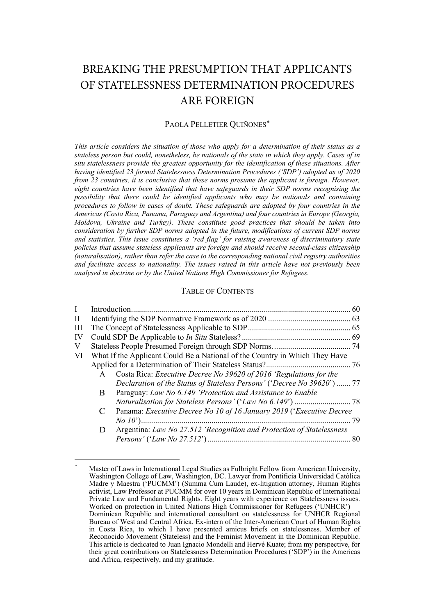# BREAKING THE PRESUMPTION THAT APPLICANTS OF STATELESSNESS DETERMINATION PROCEDURES ARE FOREIGN

# PAOLA PELLETIER OUIÑONES[\\*](#page-0-0)

*This article considers the situation of those who apply for a determination of their status as a stateless person but could, nonetheless, be nationals of the state in which they apply. Cases of in situ statelessness provide the greatest opportunity for the identification of these situations. After having identified 23 formal Statelessness Determination Procedures ('SDP') adopted as of 2020 from 23 countries, it is conclusive that these norms presume the applicant is foreign. However, eight countries have been identified that have safeguards in their SDP norms recognising the possibility that there could be identified applicants who may be nationals and containing procedures to follow in cases of doubt. These safeguards are adopted by four countries in the Americas (Costa Rica, Panama, Paraguay and Argentina) and four countries in Europe (Georgia, Moldova, Ukraine and Turkey). These constitute good practices that should be taken into consideration by further SDP norms adopted in the future, modifications of current SDP norms and statistics. This issue constitutes a 'red flag' for raising awareness of discriminatory state policies that assume stateless applicants are foreign and should receive second-class citizenship (naturalisation), rather than refer the case to the corresponding national civil registry authorities and facilitate access to nationality. The issues raised in this article have not previously been analysed in doctrine or by the United Nations High Commissioner for Refugees.*

### TABLE OF CONTENTS

| H  |   |                                                                             |    |
|----|---|-----------------------------------------------------------------------------|----|
| Ш  |   |                                                                             |    |
| IV |   |                                                                             |    |
| V  |   |                                                                             |    |
| VI |   | What If the Applicant Could Be a National of the Country in Which They Have |    |
|    |   |                                                                             |    |
|    | A | Costa Rica: <i>Executive Decree No 39620 of 2016 'Regulations for the</i>   |    |
|    |   | Declaration of the Status of Stateless Persons' ('Decree No 39620')  77     |    |
|    | В | Paraguay: Law No 6.149 'Protection and Assistance to Enable                 |    |
|    |   |                                                                             |    |
|    |   | Panama: Executive Decree No 10 of 16 January 2019 ('Executive Decree        |    |
|    |   |                                                                             | 79 |
|    | D | Argentina: Law No 27.512 'Recognition and Protection of Statelessness       |    |
|    |   |                                                                             |    |

<span id="page-0-0"></span>Master of Laws in International Legal Studies as Fulbright Fellow from American University, Washington College of Law, Washington, DC. Lawyer from Pontificia Universidad Catòlica Madre y Maestra ('PUCMM') (Summa Cum Laude), ex-litigation attorney, Human Rights activist, Law Professor at PUCMM for over 10 years in Dominican Republic of International Private Law and Fundamental Rights. Eight years with experience on Statelessness issues. Worked on protection in United Nations High Commissioner for Refugees ('UNHCR') — Dominican Republic and international consultant on statelessness for UNHCR Regional Bureau of West and Central Africa. Ex-intern of the Inter-American Court of Human Rights in Costa Rica, to which I have presented amicus briefs on statelessness. Member of Reconocido Movement (Stateless) and the Feminist Movement in the Dominican Republic. This article is dedicated to Juan Ignacio Mondelli and Hervé Kuate; from my perspective, for their great contributions on Statelessness Determination Procedures ('SDP') in the Americas and Africa, respectively, and my gratitude.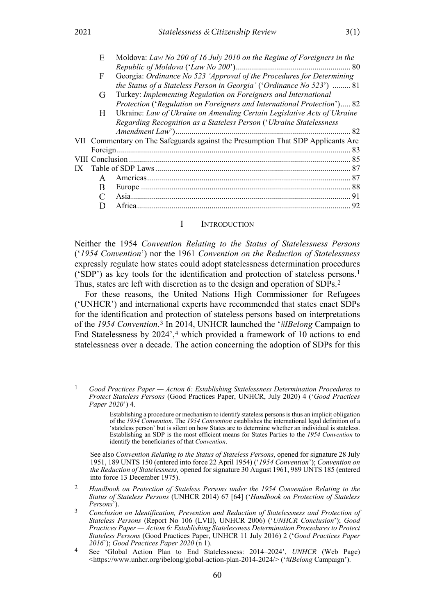| Moldova: Law No 200 of 16 July 2010 on the Regime of Foreigners in the |  |
|------------------------------------------------------------------------|--|
|                                                                        |  |
| Georgia: Ordinance No 523 'Approval of the Procedures for Determining  |  |

|              | Protection ('Regulation on Foreigners and International Protection') 82          |  |
|--------------|----------------------------------------------------------------------------------|--|
| H-           | Ukraine: Law of Ukraine on Amending Certain Legislative Acts of Ukraine          |  |
|              | Regarding Recognition as a Stateless Person ('Ukraine Statelessness              |  |
|              |                                                                                  |  |
|              | VII Commentary on The Safeguards against the Presumption That SDP Applicants Are |  |
|              |                                                                                  |  |
|              |                                                                                  |  |
|              |                                                                                  |  |
| $\mathsf{A}$ |                                                                                  |  |
| B            |                                                                                  |  |
|              |                                                                                  |  |
|              |                                                                                  |  |
|              |                                                                                  |  |

### <span id="page-1-7"></span><span id="page-1-1"></span><span id="page-1-0"></span>I INTRODUCTION

Neither the 1954 *Convention Relating to the Status of Statelessness Persons* ('*1954 Convention*') nor the 1961 *Convention on the Reduction of Statelessness*  expressly regulate how states could adopt statelessness determination procedures ('SDP') as key tools for the identification and protection of stateless persons.[1](#page-1-2) Thus, states are left with discretion as to the design and operation of SDPs.[2](#page-1-3)

<span id="page-1-6"></span>For these reasons, the United Nations High Commissioner for Refugees ('UNHCR') and international experts have recommended that states enact SDPs for the identification and protection of stateless persons based on interpretations of the *1954 Convention*.[3](#page-1-4) In 2014, UNHCR launched the '*#IBelong* Campaign to End Statelessness by 202[4](#page-1-5)',<sup>4</sup> which provided a framework of 10 actions to end statelessness over a decade. The action concerning the adoption of SDPs for this

 $E$ 

 $\mathbf{F}$ 

<span id="page-1-2"></span><sup>1</sup> *Good Practices Paper — Action 6: Establishing Statelessness Determination Procedures to Protect Stateless Persons* (Good Practices Paper, UNHCR, July 2020) 4 ('*Good Practices Paper 2020*') 4.

<span id="page-1-8"></span>Establishing a procedure or mechanism to identify stateless persons is thus an implicit obligation of the *1954 Convention*. The *1954 Convention* establishes the international legal definition of a 'stateless person' but is silent on how States are to determine whether an individual is stateless. Establishing an SDP is the most efficient means for States Parties to the *1954 Convention* to identify the beneficiaries of that *Convention*.

See also *Convention Relating to the Status of Stateless Persons*, opened for signature 28 July 1951, 189 UNTS 150 (entered into force 22 April 1954) ('*1954 Convention*'); *Convention on the Reduction of Statelessness,* opened for signature 30 August 1961, 989 UNTS 185 (entered into force 13 December 1975).

<span id="page-1-3"></span><sup>2</sup> *Handbook on Protection of Stateless Persons under the 1954 Convention Relating to the Status of Stateless Persons* (UNHCR 2014) 67 [64] ('*Handbook on Protection of Stateless Persons*').

<span id="page-1-4"></span><sup>3</sup> *Conclusion on Identification, Prevention and Reduction of Statelessness and Protection of Stateless Persons* (Report No 106 (LVII), UNHCR 2006) ('*UNHCR Conclusion*'); *Good Practices Paper — Action 6: Establishing Statelessness Determination Procedures to Protect Stateless Persons* (Good Practices Paper, UNHCR 11 July 2016) 2 ('*Good Practices Paper* 

<span id="page-1-5"></span>*<sup>2016</sup>*'); *Good Practices Paper 2020* (n [1\)](#page-1-1). 4 See 'Global Action Plan to End Statelessness: 2014–2024', *UNHCR* (Web Page) <https://www.unhcr.org/ibelong/global-action-plan-2014-2024/> ('*#IBelong* Campaign').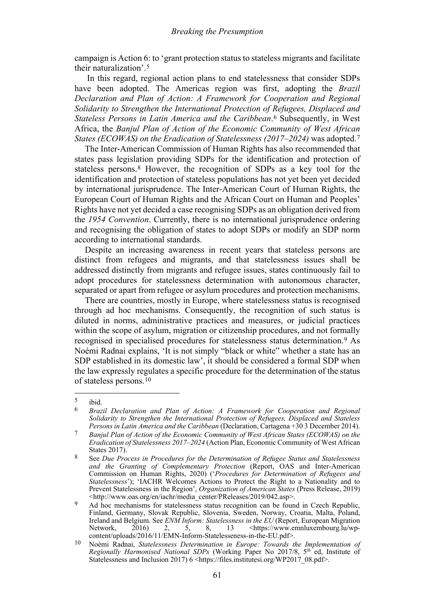campaign is Action 6: to 'grant protection status to stateless migrants and facilitate their naturalization'.[5](#page-2-0)

In this regard, regional action plans to end statelessness that consider SDPs have been adopted. The Americas region was first, adopting the *Brazil Declaration and Plan of Action: A Framework for Cooperation and Regional Solidarity to Strengthen the International Protection of Refugees, Displaced and Stateless Persons in Latin America and the Caribbean*.<sup>[6](#page-2-1)</sup> Subsequently, in West Africa, the *Banjul Plan of Action of the Economic Community of West African States (ECOWAS) on the Eradication of Statelessness (2017–2024)* was adopted.[7](#page-2-2)

<span id="page-2-6"></span>The Inter-American Commission of Human Rights has also recommended that states pass legislation providing SDPs for the identification and protection of stateless persons.[8](#page-2-3) However, the recognition of SDPs as a key tool for the identification and protection of stateless populations has not yet been yet decided by international jurisprudence. The Inter-American Court of Human Rights, the European Court of Human Rights and the African Court on Human and Peoples' Rights have not yet decided a case recognising SDPs as an obligation derived from the *1954 Convention*. Currently, there is no international jurisprudence ordering and recognising the obligation of states to adopt SDPs or modify an SDP norm according to international standards.

Despite an increasing awareness in recent years that stateless persons are distinct from refugees and migrants, and that statelessness issues shall be addressed distinctly from migrants and refugee issues, states continuously fail to adopt procedures for statelessness determination with autonomous character, separated or apart from refugee or asylum procedures and protection mechanisms.

There are countries, mostly in Europe, where statelessness status is recognised through ad hoc mechanisms. Consequently, the recognition of such status is diluted in norms, administrative practices and measures, or judicial practices within the scope of asylum, migration or citizenship procedures, and not formally recognised in specialised procedures for statelessness status determination.[9](#page-2-4) As Noémi Radnai explains, 'It is not simply "black or white" whether a state has an SDP established in its domestic law', it should be considered a formal SDP when the law expressly regulates a specific procedure for the determination of the status of stateless persons.[10](#page-2-5)

<span id="page-2-1"></span><span id="page-2-0"></span> $rac{5}{6}$  ibid.

<sup>6</sup> *Brazil Declaration and Plan of Action: A Framework for Cooperation and Regional Solidarity to Strengthen the International Protection of Refugees, Displaced and Stateless Persons in Latin America and the Caribbean* (Declaration, Cartagena +30 3 December 2014).

<span id="page-2-2"></span><sup>7</sup> *Banjul Plan of Action of the Economic Community of West African States (ECOWAS) on the Eradication of Statelessness 2017–2024* (Action Plan, Economic Community of West African States 2017).

<span id="page-2-3"></span><sup>8</sup> See *Due Process in Procedures for the Determination of Refugee Status and Statelessness and the Granting of Complementary Protection* (Report, OAS and Inter-American Commission on Human Rights, 2020) ('*Procedures for Determination of Refugees and Statelessness*'); 'IACHR Welcomes Actions to Protect the Right to a Nationality and to Prevent Statelessness in the Region', *Organization of American States* (Press Release, 2019) <http://www.oas.org/en/iachr/media\_center/PReleases/2019/042.asp>.

<span id="page-2-4"></span><sup>&</sup>lt;sup>9</sup> Ad hoc mechanisms for statelessness status recognition can be found in Czech Republic, Finland, Germany, Slovak Republic, Slovenia, Sweden, Norway, Croatia, Malta, Poland, Ireland and Belgium. See *ENM Inform: Statelessness in the EU* (Report, European Migration  $\text{th}\left(\frac{1}{2}\right)$  [<https://www.emnluxembourg.lu/wp](https://www.emnluxembourg.lu/wp-content/uploads/2016/11/EMN-Inform-Statelesseness-in-the-EU.pdf)[content/uploads/2016/11/EMN-Inform-Statelesseness-in-the-EU.pdf>](https://www.emnluxembourg.lu/wp-content/uploads/2016/11/EMN-Inform-Statelesseness-in-the-EU.pdf).

<span id="page-2-5"></span><sup>10</sup> Noémi Radnai, *Statelessness Determination in Europe: Towards the Implementation of Regionally Harmonised National SDPs* (Working Paper No 2017/8, 5<sup>th ed, Institute of</sup> Statelessness and Inclusion 2017) 6 <https://files.institutesi.org/WP2017\_08.pdf>.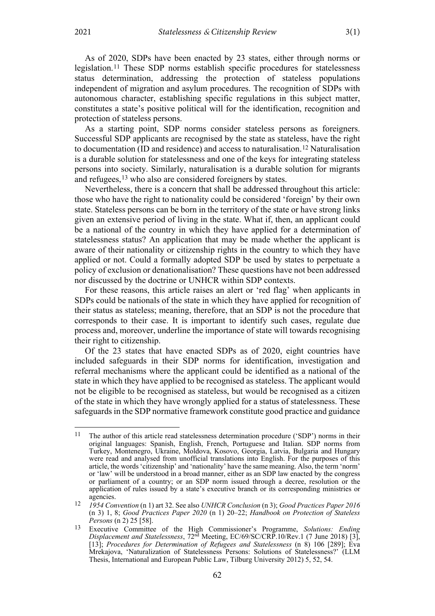As of 2020, SDPs have been enacted by 23 states, either through norms or legislation.[11](#page-3-0) These SDP norms establish specific procedures for statelessness status determination, addressing the protection of stateless populations independent of migration and asylum procedures. The recognition of SDPs with autonomous character, establishing specific regulations in this subject matter, constitutes a state's positive political will for the identification, recognition and protection of stateless persons.

As a starting point, SDP norms consider stateless persons as foreigners. Successful SDP applicants are recognised by the state as stateless, have the right to documentation (ID and residence) and access to naturalisation.[12](#page-3-1) Naturalisation is a durable solution for statelessness and one of the keys for integrating stateless persons into society. Similarly, naturalisation is a durable solution for migrants and refugees,<sup>[13](#page-3-2)</sup> who also are considered foreigners by states.

Nevertheless, there is a concern that shall be addressed throughout this article: those who have the right to nationality could be considered 'foreign' by their own state. Stateless persons can be born in the territory of the state or have strong links given an extensive period of living in the state. What if, then, an applicant could be a national of the country in which they have applied for a determination of statelessness status? An application that may be made whether the applicant is aware of their nationality or citizenship rights in the country to which they have applied or not. Could a formally adopted SDP be used by states to perpetuate a policy of exclusion or denationalisation? These questions have not been addressed nor discussed by the doctrine or UNHCR within SDP contexts.

For these reasons, this article raises an alert or 'red flag' when applicants in SDPs could be nationals of the state in which they have applied for recognition of their status as stateless; meaning, therefore, that an SDP is not the procedure that corresponds to their case. It is important to identify such cases, regulate due process and, moreover, underline the importance of state will towards recognising their right to citizenship.

Of the 23 states that have enacted SDPs as of 2020, eight countries have included safeguards in their SDP norms for identification, investigation and referral mechanisms where the applicant could be identified as a national of the state in which they have applied to be recognised as stateless. The applicant would not be eligible to be recognised as stateless, but would be recognised as a citizen of the state in which they have wrongly applied for a status of statelessness. These safeguards in the SDP normative framework constitute good practice and guidance

<span id="page-3-0"></span><sup>11</sup> The author of this article read statelessness determination procedure ('SDP') norms in their original languages: Spanish, English, French, Portuguese and Italian. SDP norms from Turkey, Montenegro, Ukraine, Moldova, Kosovo, Georgia, Latvia, Bulgaria and Hungary were read and analysed from unofficial translations into English. For the purposes of this article, the words 'citizenship' and 'nationality' have the same meaning. Also, the term 'norm' or 'law' will be understood in a broad manner, either as an SDP law enacted by the congress or parliament of a country; or an SDP norm issued through a decree, resolution or the application of rules issued by a state's executive branch or its corresponding ministries or agencies.

<span id="page-3-1"></span><sup>12</sup> *1954 Convention* ([n 1\)](#page-1-1) art 32. See also *UNHCR Conclusion* (n [3\)](#page-1-6); *Good Practices Paper 2016* (n [3\)](#page-1-6) 1, 8; *Good Practices Paper 2020* (n [1\)](#page-1-1) 20–22; *Handbook on Protection of Stateless Persons* ([n 2\)](#page-1-7) 25 [58].

<span id="page-3-2"></span><sup>13</sup> Executive Committee of the High Commissioner's Programme, *Solutions: Ending Displacement and Statelessness*, 72nd Meeting, EC/69/SC/CRP.10/Rev.1 (7 June 2018) [3], [13]; *Procedures for Determination of Refugees and Statelessness* (n [8\)](#page-2-6) 106 [289]; Eva Mrekajova, 'Naturalization of Statelessness Persons: Solutions of Statelessness?' (LLM Thesis, International and European Public Law, Tilburg University 2012) 5, 52, 54.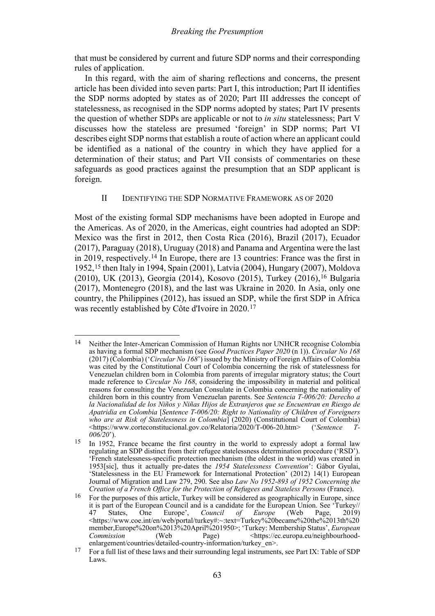that must be considered by current and future SDP norms and their corresponding rules of application.

In this regard, with the aim of sharing reflections and concerns, the present article has been divided into seven parts: Part I, this introduction; Part II identifies the SDP norms adopted by states as of 2020; Part III addresses the concept of statelessness, as recognised in the SDP norms adopted by states; Part IV presents the question of whether SDPs are applicable or not to *in situ* statelessness; Part V discusses how the stateless are presumed 'foreign' in SDP norms; Part VI describes eight SDP norms that establish a route of action where an applicant could be identified as a national of the country in which they have applied for a determination of their status; and Part VII consists of commentaries on these safeguards as good practices against the presumption that an SDP applicant is foreign.

# <span id="page-4-5"></span><span id="page-4-0"></span>II IDENTIFYING THE SDP NORMATIVE FRAMEWORK AS OF 2020

Most of the existing formal SDP mechanisms have been adopted in Europe and the Americas. As of 2020, in the Americas, eight countries had adopted an SDP: Mexico was the first in 2012, then Costa Rica (2016), Brazil (2017), Ecuador (2017), Paraguay (2018), Uruguay (2018) and Panama and Argentina were the last in 2019, respectively.[14](#page-4-1) In Europe, there are 13 countries: France was the first in 1952,[15](#page-4-2) then Italy in 1994, Spain (2001), Latvia (2004), Hungary (2007), Moldova (2010), UK (2013), Georgia (2014), Kosovo (2015), Turkey (2016),[16](#page-4-3) Bulgaria (2017), Montenegro (2018), and the last was Ukraine in 2020. In Asia, only one country, the Philippines (2012), has issued an SDP, while the first SDP in Africa was recently established by Côte d'Ivoire in 2020.[17](#page-4-4)

<span id="page-4-1"></span><sup>14</sup> Neither the Inter-American Commission of Human Rights nor UNHCR recognise Colombia as having a formal SDP mechanism (see *Good Practices Paper 2020* ([n 1\)](#page-1-1)). *Circular No 168* (2017) (Colombia) ('*Circular No 168*') issued by the Ministry of Foreign Affairs of Colombia was cited by the Constitutional Court of Colombia concerning the risk of statelessness for Venezuelan children born in Colombia from parents of irregular migratory status; the Court made reference to *Circular No 168*, considering the impossibility in material and political reasons for consulting the Venezuelan Consulate in Colombia concerning the nationality of children born in this country from Venezuelan parents. See *Sentencia T-006/20: Derecho a la Nacionalidad de los Niños y Niñas Hijos de Extranjeros que se Encuentran en Riesgo de Apatridia en Colombia* [*Sentence T-006/20: Right to Nationality of Children of Foreigners who are at Risk of Statelessness in Colombia*] (2020) (Constitutional Court of Colombia)<br>
<https://www.corteconstitucional.gov.co/Relatoria/2020/T-006-20.htm> ('Sentence T-<https://www.corteconstitucional.gov.co/Relatoria/2020/T-006-20.htm> ('*Sentence T-006/20*').

<span id="page-4-2"></span><sup>15</sup> In 1952, France became the first country in the world to expressly adopt a formal law regulating an SDP distinct from their refugee statelessness determination procedure ('RSD'). 'French statelessness-specific protection mechanism (the oldest in the world) was created in 1953[sic], thus it actually pre-dates the *1954 Statelessness Convention*': Gábor Gyulai, 'Statelessness in the EU Framework for International Protection' (2012) 14(1) European Journal of Migration and Law 279, 290. See also *Law No 1952-893 of 1952 Concerning the Creation of a French Office for the Protection of Refugees and Stateless Persons* (France).

<span id="page-4-3"></span><sup>16</sup> For the purposes of this article, Turkey will be considered as geographically in Europe, since it is part of the European Council and is a candidate for the European Union. See 'Turkey//<br>47 States, One Europe', *Council of Europe* (Web Page. 2019) 47 States, One Europe', *Council of Europe* (Web Page, 2019) [<https://www.coe.int/en/web/portal/turkey#:~:text=Turkey%20became%20the%2013th%20](https://www.coe.int/en/web/portal/turkey#:%7E:text=Turkey%20became%20the%2013th%20member,Europe%20on%2013%20April%201950) [member,Europe%20on%2013%20April%201950>](https://www.coe.int/en/web/portal/turkey#:%7E:text=Turkey%20became%20the%2013th%20member,Europe%20on%2013%20April%201950); 'Turkey: Membership Status', *European Commission* (Web Page) [<https://ec.europa.eu/neighbourhood](https://ec.europa.eu/neighbourhood-enlargement/countries/detailed-country-information/turkey_en)[enlargement/countries/detailed-country-information/turkey\\_en>](https://ec.europa.eu/neighbourhood-enlargement/countries/detailed-country-information/turkey_en).

<span id="page-4-4"></span><sup>&</sup>lt;sup>17</sup> For a full list of these laws and their surrounding legal instruments, see Part IX: Table of SDP Laws.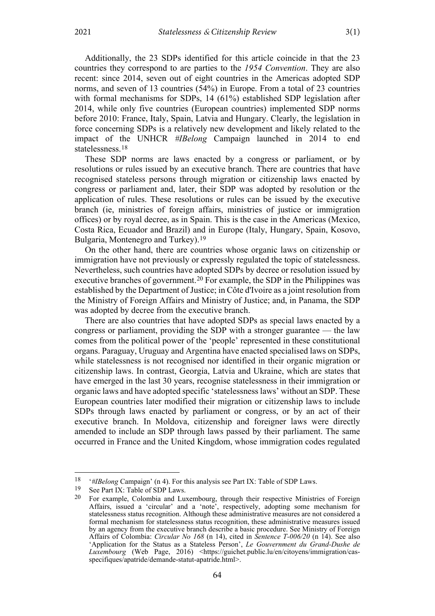Additionally, the 23 SDPs identified for this article coincide in that the 23 countries they correspond to are parties to the *1954 Convention*. They are also recent: since 2014, seven out of eight countries in the Americas adopted SDP norms, and seven of 13 countries (54%) in Europe. From a total of 23 countries with formal mechanisms for SDPs, 14 (61%) established SDP legislation after 2014, while only five countries (European countries) implemented SDP norms before 2010: France, Italy, Spain, Latvia and Hungary. Clearly, the legislation in force concerning SDPs is a relatively new development and likely related to the impact of the UNHCR *#IBelong* Campaign launched in 2014 to end statelessness.[18](#page-5-0)

These SDP norms are laws enacted by a congress or parliament, or by resolutions or rules issued by an executive branch. There are countries that have recognised stateless persons through migration or citizenship laws enacted by congress or parliament and, later, their SDP was adopted by resolution or the application of rules. These resolutions or rules can be issued by the executive branch (ie, ministries of foreign affairs, ministries of justice or immigration offices) or by royal decree, as in Spain. This is the case in the Americas (Mexico, Costa Rica, Ecuador and Brazil) and in Europe (Italy, Hungary, Spain, Kosovo, Bulgaria, Montenegro and Turkey).[19](#page-5-1)

On the other hand, there are countries whose organic laws on citizenship or immigration have not previously or expressly regulated the topic of statelessness. Nevertheless, such countries have adopted SDPs by decree or resolution issued by executive branches of government.[20](#page-5-2) For example, the SDP in the Philippines was established by the Department of Justice; in Côte d'Ivoire as a joint resolution from the Ministry of Foreign Affairs and Ministry of Justice; and, in Panama, the SDP was adopted by decree from the executive branch.

There are also countries that have adopted SDPs as special laws enacted by a congress or parliament, providing the SDP with a stronger guarantee — the law comes from the political power of the 'people' represented in these constitutional organs. Paraguay, Uruguay and Argentina have enacted specialised laws on SDPs, while statelessness is not recognised nor identified in their organic migration or citizenship laws. In contrast, Georgia, Latvia and Ukraine, which are states that have emerged in the last 30 years, recognise statelessness in their immigration or organic laws and have adopted specific 'statelessness laws' without an SDP. These European countries later modified their migration or citizenship laws to include SDPs through laws enacted by parliament or congress, or by an act of their executive branch. In Moldova, citizenship and foreigner laws were directly amended to include an SDP through laws passed by their parliament. The same occurred in France and the United Kingdom, whose immigration codes regulated

<span id="page-5-0"></span><sup>&</sup>lt;sup>18</sup> *'#IBelong* Campaign' (n [4\)](#page-1-8). For this analysis see Part IX: Table of SDP Laws.<br><sup>19</sup> See Part IX: Table of SDP Laws.

<span id="page-5-2"></span><span id="page-5-1"></span><sup>&</sup>lt;sup>19</sup> See Part IX: Table of SDP Laws.<br><sup>20</sup> Eor example, Colombia and Lu

<sup>20</sup> For example, Colombia and Luxembourg, through their respective Ministries of Foreign Affairs, issued a 'circular' and a 'note', respectively, adopting some mechanism for statelessness status recognition. Although these administrative measures are not considered a formal mechanism for statelessness status recognition, these administrative measures issued by an agency from the executive branch describe a basic procedure. See Ministry of Foreign Affairs of Colombia: *Circular No 168* (n [14\)](#page-4-5), cited in *Sentence T-006/20* (n [14\)](#page-4-5). See also 'Application for the Status as a Stateless Person', *Le Gouvernment du Grand-Dushe de Luxembourg* (Web Page, 2016) [<https://guichet.public.lu/en/citoyens/immigration/cas](https://guichet.public.lu/en/citoyens/immigration/cas-specifiques/apatride/demande-statut-apatride.html)[specifiques/apatride/demande-statut-apatride.html>](https://guichet.public.lu/en/citoyens/immigration/cas-specifiques/apatride/demande-statut-apatride.html).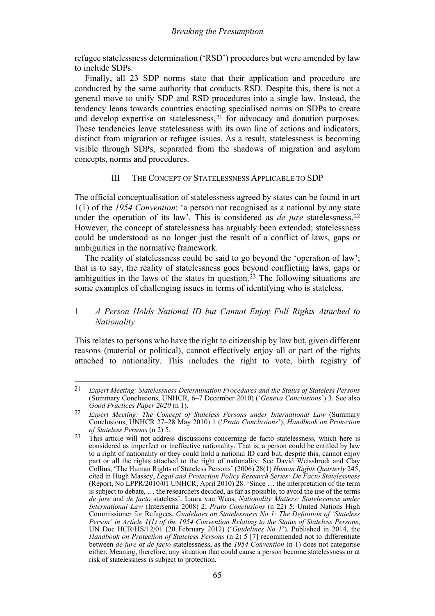refugee statelessness determination ('RSD') procedures but were amended by law to include SDPs.

Finally, all 23 SDP norms state that their application and procedure are conducted by the same authority that conducts RSD. Despite this, there is not a general move to unify SDP and RSD procedures into a single law. Instead, the tendency leans towards countries enacting specialised norms on SDPs to create and develop expertise on statelessness,<sup>[21](#page-6-2)</sup> for advocacy and donation purposes. These tendencies leave statelessness with its own line of actions and indicators, distinct from migration or refugee issues. As a result, statelessness is becoming visible through SDPs, separated from the shadows of migration and asylum concepts, norms and procedures.

# <span id="page-6-6"></span><span id="page-6-5"></span><span id="page-6-1"></span>III THE CONCEPT OF STATELESSNESS APPLICABLE TO SDP

<span id="page-6-0"></span>The official conceptualisation of statelessness agreed by states can be found in art 1(1) of the *1954 Convention*: 'a person not recognised as a national by any state under the operation of its law'. This is considered as *de jure* statelessness.<sup>22</sup> However, the concept of statelessness has arguably been extended; statelessness could be understood as no longer just the result of a conflict of laws, gaps or ambiguities in the normative framework.

The reality of statelessness could be said to go beyond the 'operation of law'; that is to say, the reality of statelessness goes beyond conflicting laws, gaps or ambiguities in the laws of the states in question.[23](#page-6-4) The following situations are some examples of challenging issues in terms of identifying who is stateless.

# 1 *A Person Holds National ID but Cannot Enjoy Full Rights Attached to Nationality*

This relates to persons who have the right to citizenship by law but, given different reasons (material or political), cannot effectively enjoy all or part of the rights attached to nationality. This includes the right to vote, birth registry of

<span id="page-6-2"></span><sup>21</sup> *Expert Meeting: Statelessness Determination Procedures and the Status of Stateless Persons* (Summary Conclusions, UNHCR, 6–7 December 2010) ('*Geneva Conclusions*') 3. See also *Good Practices Paper 2020* (n [1\)](#page-1-1).

<span id="page-6-3"></span><sup>22</sup> *Expert Meeting: The Concept of Stateless Persons under International Law* (Summary Conclusions, UNHCR 27–28 May 2010) 1 ('*Prato Conclusions*'); *Handbook on Protection of Stateless Persons* (n [2\)](#page-1-7) 5.

<span id="page-6-4"></span><sup>23</sup> This article will not address discussions concerning de facto statelessness, which here is considered as imperfect or ineffective nationality. That is, a person could be entitled by law to a right of nationality or they could hold a national ID card but, despite this, cannot enjoy part or all the rights attached to the right of nationality. See David Weissbrodt and Clay Collins, 'The Human Rights of Stateless Persons' (2006) 28(1) *Human Rights Quarterly* 245, cited in Hugh Massey, *Legal and Protection Policy Research Series: De Facto Statelessness* (Report, No LPPR/2010/01 UNHCR, April 2010) 28. 'Since … the interpretation of the term is subject to debate, … the researchers decided, as far as possible, to avoid the use of the terms *de jure* and *de facto* stateless'. Laura van Waas, *Nationality Matters: Statelessness under International Law* (Intersentia 2008) 2; *Prato Conclusions* (n [22\)](#page-6-1) 5; United Nations High Commissioner for Refugees, *Guidelines on Statelessness No 1: The Definition of 'Stateless Person' in Article 1(1) of the 1954 Convention Relating to the Status of Stateless Persons*, UN Doc HCR/HS/12/01 (20 February 2012) ('*Guidelines No 1*'). Published in 2014, the *Handbook on Protection of Stateless Persons* (n [2\)](#page-1-7) 5 [7] recommended not to differentiate between *de jure* or *de facto* statelessness, as the *1954 Convention* (n [1\)](#page-1-1) does not categorise either. Meaning, therefore, any situation that could cause a person become statelessness or at risk of statelessness is subject to protection.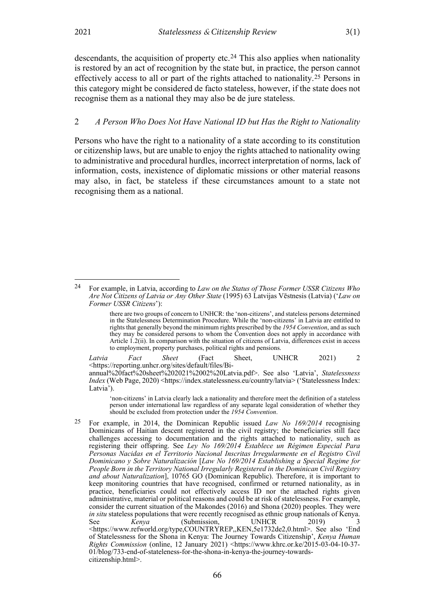<span id="page-7-2"></span>descendants, the acquisition of property etc.<sup>24</sup> This also applies when nationality is restored by an act of recognition by the state but, in practice, the person cannot effectively access to all or part of the rights attached to nationality.[25](#page-7-1) Persons in this category might be considered de facto stateless, however, if the state does not recognise them as a national they may also be de jure stateless.

### 2 *A Person Who Does Not Have National ID but Has the Right to Nationality*

Persons who have the right to a nationality of a state according to its constitution or citizenship laws, but are unable to enjoy the rights attached to nationality owing to administrative and procedural hurdles, incorrect interpretation of norms, lack of information, costs, inexistence of diplomatic missions or other material reasons may also, in fact, be stateless if these circumstances amount to a state not recognising them as a national.

*Latvia Fact Sheet* (Fact Sheet, UNHCR 2021) 2 <https://reporting.unhcr.org/sites/default/files/Biannual%20fact%20sheet%202021%2002%20Latvia.pdf>. See also 'Latvia', *Statelessness Index* (Web Page, 2020) <https://index.statelessness.eu/country/latvia> ('Statelessness Index: Latvia').

'non-citizens' in Latvia clearly lack a nationality and therefore meet the definition of a stateless person under international law regardless of any separate legal consideration of whether they should be excluded from protection under the *1954 Convention*.

<span id="page-7-1"></span>25 For example, in 2014, the Dominican Republic issued *Law No 169/2014* recognising Dominicans of Haitian descent registered in the civil registry; the beneficiaries still face challenges accessing to documentation and the rights attached to nationality, such as registering their offspring. See *Ley No 169/2014 Establece un Régimen Especial Para Personas Nacidas en el Territorio Nacional Inscritas Irregularmente en el Registro Civil Dominicano y Sobre Naturalización* [*Law No 169/2014 Establishing a Special Regime for People Born in the Territory National Irregularly Registered in the Dominican Civil Registry and about Naturalization*], 10765 GO (Dominican Republic). Therefore, it is important to keep monitoring countries that have recognised, confirmed or returned nationality, as in practice, beneficiaries could not effectively access ID nor the attached rights given administrative, material or political reasons and could be at risk of statelessness. For example, consider the current situation of the Makondes (2016) and Shona (2020) peoples. They were *in situ* stateless populations that were recently recognised as ethnic group nationals of Kenya. See *Kenya* (Submission, UNHCR 2019) <https://www.refworld.org/type,COUNTRYREP,,KEN,5e1732de2,0.html>. See also 'End of Statelessness for the Shona in Kenya: The Journey Towards Citizenship', *Kenya Human Rights Commission* (online, 12 January 2021) <https://www.khrc.or.ke/2015-03-04-10-37-01/blog/733-end-of-stateleness-for-the-shona-in-kenya-the-journey-towardscitizenship.html>.

<span id="page-7-0"></span><sup>24</sup> For example, in Latvia, according to *Law on the Status of Those Former USSR Citizens Who Are Not Citizens of Latvia or Any Other State* (1995) 63 Latvijas Vēstnesis (Latvia) ('*Law on Former USSR Citizens*'):

there are two groups of concern to UNHCR: the 'non-citizens', and stateless persons determined in the Statelessness Determination Procedure. While the 'non-citizens' in Latvia are entitled to rights that generally beyond the minimum rights prescribed by the *1954 Convention*, and as such they may be considered persons to whom the Convention does not apply in accordance with Article 1.2(ii). In comparison with the situation of citizens of Latvia, differences exist in access to employment, property purchases, political rights and pensions.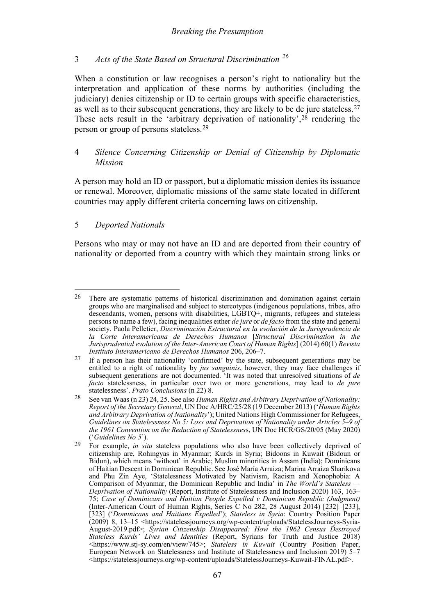# <span id="page-8-5"></span><span id="page-8-4"></span>*Breaking the Presumption*

# 3 *Acts of the State Based on Structural Discrimination [26](#page-8-0)*

When a constitution or law recognises a person's right to nationality but the interpretation and application of these norms by authorities (including the judiciary) denies citizenship or ID to certain groups with specific characteristics, as well as to their subsequent generations, they are likely to be de jure stateless[.27](#page-8-1) These acts result in the 'arbitrary deprivation of nationality',<sup>[28](#page-8-2)</sup> rendering the person or group of persons stateless.[29](#page-8-3)

# 4 *Silence Concerning Citizenship or Denial of Citizenship by Diplomatic Mission*

A person may hold an ID or passport, but a diplomatic mission denies its issuance or renewal. Moreover, diplomatic missions of the same state located in different countries may apply different criteria concerning laws on citizenship.

# 5 *Deported Nationals*

Persons who may or may not have an ID and are deported from their country of nationality or deported from a country with which they maintain strong links or

<span id="page-8-0"></span><sup>&</sup>lt;sup>26</sup> There are systematic patterns of historical discrimination and domination against certain groups who are marginalised and subject to stereotypes (indigenous populations, tribes, afro descendants, women, persons with disabilities, LGBTQ+, migrants, refugees and stateless persons to name a few), facing inequalities either *de jure* or *de facto* from the state and general society. Paola Pelletier, *Discriminación Estructural en la evolución de la Jurisprudencia de la Corte Interamericana de Derechos Humanos* [*Structural Discrimination in the Jurisprudential evolution of the Inter-American Court of Human Rights*] (2014) 60(1) *Revista Instituto Interamericano de Derechos Humanos* 206, 206–7.

<span id="page-8-1"></span><sup>27</sup> If a person has their nationality 'confirmed' by the state, subsequent generations may be entitled to a right of nationality by *jus sanguinis*, however, they may face challenges if subsequent generations are not documented. 'It was noted that unresolved situations of *de facto* statelessness, in particular over two or more generations, may lead to *de jure* statelessness'. *Prato Conclusions* (n [22\)](#page-6-1) 8.

<span id="page-8-2"></span><sup>28</sup> See van Waas ([n 23\)](#page-6-5) 24, 25. See also *Human Rights and Arbitrary Deprivation of Nationality: Report of the Secretary General*, UN Doc A/HRC/25/28 (19 December 2013) ('*Human Rights and Arbitrary Deprivation of Nationality*'); United Nations High Commissioner for Refugees, *Guidelines on Statelessness No 5: Loss and Deprivation of Nationality under Articles 5–9 of the 1961 Convention on the Reduction of Statelessness*, UN Doc HCR/GS/20/05 (May 2020) ('*Guidelines No 5*').

<span id="page-8-3"></span><sup>29</sup> For example, *in situ* stateless populations who also have been collectively deprived of citizenship are, Rohingyas in Myanmar; Kurds in Syria; Bidoons in Kuwait (Bidoun or Bidun), which means 'without' in Arabic; Muslim minorities in Assam (India); Dominicans of Haitian Descent in Dominican Republic. See José María Arraiza; Marina Arraiza Sharikova and Phu Zin Aye, 'Statelessness Motivated by Nativism, Racism and Xenophobia: A Comparison of Myanmar, the Dominican Republic and India' in *The World's Stateless — Deprivation of Nationality* (Report, Institute of Statelessness and Inclusion 2020) 163, 163– 75; *Case of Dominicans and Haitian People Expelled v Dominican Republic (Judgment)* (Inter-American Court of Human Rights, Series C No 282, 28 August 2014) [232]–[233], [323] ('*Dominicans and Haitians Expelled*'); *Stateless in Syria*: Country Position Paper (2009) 8, 13–15 [<https://statelessjourneys.org/wp-content/uploads/StatelessJourneys-Syria-](https://statelessjourneys.org/wp-content/uploads/StatelessJourneys-Syria-August-2019.pdf)[August-2019.pdf>](https://statelessjourneys.org/wp-content/uploads/StatelessJourneys-Syria-August-2019.pdf); *Syrian Citizenship Disappeared: How the 1962 Census Destroyed Stateless Kurds' Lives and Identities* (Report, Syrians for Truth and Justice 2018) <https://www.stj-sy.com/en/view/745>; *Stateless in Kuwait* (Country Position Paper, European Network on Statelessness and Institute of Statelessness and Inclusion 2019) 5–7 <https://statelessjourneys.org/wp-content/uploads/StatelessJourneys-Kuwait-FINAL.pdf>.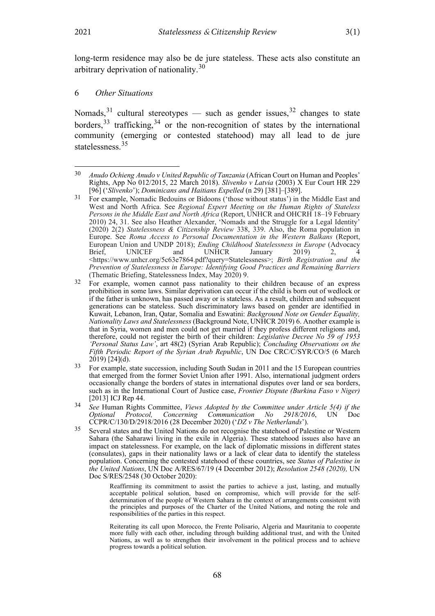<span id="page-9-7"></span>long-term residence may also be de jure stateless. These acts also constitute an arbitrary deprivation of nationality.<sup>[30](#page-9-0)</sup>

# 6 *Other Situations*

<span id="page-9-6"></span>Nomads,  $31$  cultural stereotypes — such as gender issues,  $32$  changes to state borders,  $33$  trafficking,  $34$  or the non-recognition of states by the international community (emerging or contested statehood) may all lead to de jure statelessness. [35](#page-9-5)

Reaffirming its commitment to assist the parties to achieve a just, lasting, and mutually acceptable political solution, based on compromise, which will provide for the selfdetermination of the people of Western Sahara in the context of arrangements consistent with the principles and purposes of the Charter of the United Nations, and noting the role and responsibilities of the parties in this respect.

Reiterating its call upon Morocco, the Frente Polisario, Algeria and Mauritania to cooperate more fully with each other, including through building additional trust, and with the United Nations, as well as to strengthen their involvement in the political process and to achieve progress towards a political solution.

<span id="page-9-0"></span><sup>30</sup> *Anudo Ochieng Anudo v United Republic of Tanzania* (African Court on Human and Peoples' Rights, App No 012/2015, 22 March 2018). *Slivenko v Latvia* (2003) X Eur Court HR 229 [96] ('*Slivenko*'); *Dominicans and Haitians Expelled* (n [29\)](#page-8-4) [381]–[389].

<span id="page-9-1"></span><sup>31</sup> For example, Nomadic Bedouins or Bidoons ('those without status') in the Middle East and West and North Africa. See *Regional Expert Meeting on the Human Rights of Stateless Persons in the Middle East and North Africa* (Report, UNHCR and OHCRH 18–19 February 2010) 24, 31. See also Heather Alexander, 'Nomads and the Struggle for a Legal Identity' (2020) 2(2) *Statelessness & Citizenship Review* 338, 339. Also, the Roma population in Europe. See *Roma Access to Personal Documentation in the Western Balkans* (Report, European Union and UNDP 2018); *Ending Childhood Statelessness in Europe* (Advocacy Brief, UNICEF and UNHCR January 2019) 2, 4 Brief, UNICEF and UNHCR January 2019) 2, 4 <https://www.unhcr.org/5c63e7864.pdf?query=Statelessness>; *Birth Registration and the Prevention of Statelessness in Europe: Identifying Good Practices and Remaining Barriers* (Thematic Briefing, Statelessness Index, May 2020) 9.

<span id="page-9-2"></span><sup>32</sup> For example, women cannot pass nationality to their children because of an express prohibition in some laws. Similar deprivation can occur if the child is born out of wedlock or if the father is unknown, has passed away or is stateless. As a result, children and subsequent generations can be stateless. Such discriminatory laws based on gender are identified in Kuwait, Lebanon, Iran, Qatar, Somalia and Eswatini: *[Background Note on Gender Equality,](https://www.refworld.org/cgi-bin/texis/vtx/rwmain?docid=54f8369b4)  [Nationality Laws and Statelessness](https://www.refworld.org/cgi-bin/texis/vtx/rwmain?docid=54f8369b4)* (Background Note, UNHCR 2019) 6. Another example is that in Syria, women and men could not get married if they profess different religions and, therefore, could not register the birth of their children: *Legislative Decree No 59 of 1953 'Personal Status Law'*, art 48(2) (Syrian Arab Republic); *Concluding Observations on the Fifth Periodic Report of the Syrian Arab Republic*, UN Doc CRC/C/SYR/CO/5 (6 March 2019) [24](d).

<span id="page-9-3"></span> $^{33}$  For example, state succession, including South Sudan in 2011 and the 15 European countries that emerged from the former Soviet Union after 1991. Also, international judgment orders occasionally change the borders of states in international disputes over land or sea borders, such as in the International Court of Justice case, *Frontier Dispute (Burkina Faso v Niger)*  [2013] ICJ Rep 44.

<span id="page-9-4"></span><sup>34</sup> *See* Human Rights Committee, *Views Adopted by the Committee under Article 5(4) if the Communication No 2918/2016*, UN Doc CCPR/C/130/D/2918/2016 (28 December 2020) ('*DZ v The Netherlands*').

<span id="page-9-5"></span><sup>35</sup> Several states and the United Nations do not recognise the statehood of Palestine or Western Sahara (the Saharawi living in the exile in Algeria). These statehood issues also have an impact on statelessness. For example, on the lack of diplomatic missions in different states (consulates), gaps in their nationality laws or a lack of clear data to identify the stateless population. Concerning the contested statehood of these countries, see *Status of Palestine in the United Nations*, UN Doc A/RES/67/19 (4 December 2012); *Resolution 2548 (2020),* UN Doc S/RES/2548 (30 October 2020):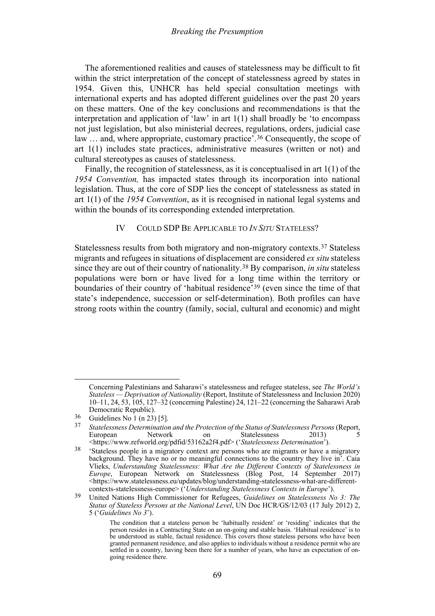The aforementioned realities and causes of statelessness may be difficult to fit within the strict interpretation of the concept of statelessness agreed by states in 1954. Given this, UNHCR has held special consultation meetings with international experts and has adopted different guidelines over the past 20 years on these matters. One of the key conclusions and recommendations is that the interpretation and application of 'law' in art 1(1) shall broadly be 'to encompass not just legislation, but also ministerial decrees, regulations, orders, judicial case law ... and, where appropriate, customary practice'.<sup>[36](#page-10-1)</sup> Consequently, the scope of art 1(1) includes state practices, administrative measures (written or not) and cultural stereotypes as causes of statelessness.

Finally, the recognition of statelessness, as it is conceptualised in art 1(1) of the *1954 Convention,* has impacted states through its incorporation into national legislation. Thus, at the core of SDP lies the concept of statelessness as stated in art 1(1) of the *1954 Convention*, as it is recognised in national legal systems and within the bounds of its corresponding extended interpretation.

## <span id="page-10-7"></span><span id="page-10-6"></span><span id="page-10-5"></span>IV COULD SDP BE APPLICABLE TO *IN SITU* STATELESS?

<span id="page-10-0"></span>Statelessness results from both migratory and non-migratory contexts.[37](#page-10-2) Stateless migrants and refugees in situations of displacement are considered *ex situ* stateless since they are out of their country of nationality.[38](#page-10-3) By comparison, *in situ* stateless populations were born or have lived for a long time within the territory or boundaries of their country of 'habitual residence'[39](#page-10-4) (even since the time of that state's independence, succession or self-determination). Both profiles can have strong roots within the country (family, social, cultural and economic) and might

Concerning Palestinians and Saharawi's statelessness and refugee stateless, see *The World's Stateless — Deprivation of Nationality* (Report, Institute of Statelessness and Inclusion 2020) 10–11, 24, 53, 105, 127–32 (concerning Palestine) 24, 121–22 (concerning the Saharawi Arab Democratic Republic).

<span id="page-10-1"></span> $\frac{36}{37}$  Guidelines No 1 (n [23\)](#page-6-5) [5].

<span id="page-10-2"></span><sup>37</sup> *Statelessness Determination and the Protection of the Status of Statelessness Persons*(Report, Statelessness 2013) 5 <https://www.refworld.org/pdfid/53162a2f4.pdf> ('*Statelessness Determination*').

<span id="page-10-3"></span><sup>&</sup>lt;sup>38</sup> 'Stateless people in a migratory context are persons who are migrants or have a migratory background. They have no or no meaningful connections to the country they live in. Caia Vlieks, *Understanding Statelessness: What Are the Different Contexts of Statelessness in Europe*, European Network on Statelessness (Blog Post, 14 September 2017) <https://www.statelessness.eu/updates/blog/understanding-statelessness-what-are-differentcontexts-statelessness-europe> ('*Understanding Statelessness Contexts in Europe*').

<span id="page-10-4"></span><sup>39</sup> United Nations High Commissioner for Refugees, *Guidelines on Statelessness No 3: The Status of Stateless Persons at the National Level*, UN Doc HCR/GS/12/03 (17 July 2012) 2, 5 ('*Guidelines No 3*').

The condition that a stateless person be 'habitually resident' or 'residing' indicates that the person resides in a Contracting State on an on-going and stable basis. 'Habitual residence' is to be understood as stable, factual residence. This covers those stateless persons who have been granted permanent residence, and also applies to individuals without a residence permit who are settled in a country, having been there for a number of years, who have an expectation of ongoing residence there.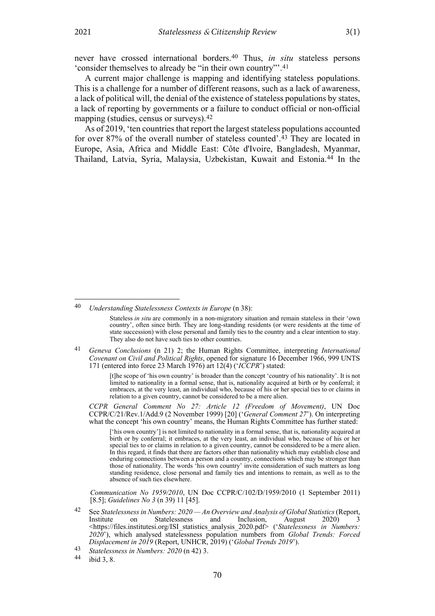<span id="page-11-6"></span>never have crossed international borders.[40](#page-11-1) Thus, *in situ* stateless persons 'consider themselves to already be "in their own country"'.[41](#page-11-2)

A current major challenge is mapping and identifying stateless populations. This is a challenge for a number of different reasons, such as a lack of awareness, a lack of political will, the denial of the existence of stateless populations by states, a lack of reporting by governments or a failure to conduct official or non-official mapping (studies, census or surveys).<sup>[42](#page-11-3)</sup>

<span id="page-11-0"></span>As of 2019, 'ten countries that report the largest stateless populations accounted for over 87% of the overall number of stateless counted'.[43](#page-11-4) They are located in Europe, Asia, Africa and Middle East: Côte d'Ivoire, Bangladesh, Myanmar, Thailand, Latvia, Syria, Malaysia, Uzbekistan, Kuwait and Estonia.[44](#page-11-5) In the

<span id="page-11-2"></span>41 *Geneva Conclusions* (n [21\)](#page-6-6) 2; the Human Rights Committee, interpreting *International Covenant on Civil and Political Rights*, opened for signature 16 December 1966, 999 UNTS 171 (entered into force 23 March 1976) art 12(4) ('*ICCPR*') stated:

> [t]he scope of 'his own country' is broader than the concept 'country of his nationality'. It is not limited to nationality in a formal sense, that is, nationality acquired at birth or by conferral; it embraces, at the very least, an individual who, because of his or her special ties to or claims in relation to a given country, cannot be considered to be a mere alien.

*CCPR General Comment No 27: Article 12 (Freedom of Movement)*, UN Doc CCPR/C/21/Rev.1/Add.9 (2 November 1999) [20] ('*General Comment 27*'). On interpreting what the concept 'his own country' means, the Human Rights Committee has further stated:

['his own country'] is not limited to nationality in a formal sense, that is, nationality acquired at birth or by conferral; it embraces, at the very least, an individual who, because of his or her special ties to or claims in relation to a given country, cannot be considered to be a mere alien. In this regard, it finds that there are factors other than nationality which may establish close and enduring connections between a person and a country, connections which may be stronger than those of nationality. The words 'his own country' invite consideration of such matters as long standing residence, close personal and family ties and intentions to remain, as well as to the absence of such ties elsewhere.

*Communication No 1959/2010*, UN Doc CCPR/C/102/D/1959/2010 (1 September 2011) [8.5]; *Guidelines No 3* (n [39\)](#page-10-6) 11 [45].

<span id="page-11-3"></span>42 See *Statelessness in Numbers: 2020 — An Overview and Analysis of Global Statistics*(Report, Institute on Statelessness and Inclusion, August 2020) 3 [<https://files.institutesi.org/ISI\\_statistics\\_analysis\\_2020.pdf>](https://files.institutesi.org/ISI_statistics_analysis_2020.pdf) ('*Statelessness in Numbers: 2020*'), which analysed statelessness population numbers from *Global Trends: Forced Displacement in 2019* (Report, UNHCR, 2019) (*'Global Trends 2019'*).<br>
43 *Statelessness in Numbers: 2020* (n [42\)](#page-11-0) 3.<br>
44 *ibid 2.* 

<span id="page-11-1"></span><sup>40</sup> *Understanding Statelessness Contexts in Europe* ([n 38\)](#page-10-5):

Stateless *in situ* are commonly in a non-migratory situation and remain stateless in their 'own country', often since birth. They are long-standing residents (or were residents at the time of state succession) with close personal and family ties to the country and a clear intention to stay. They also do not have such ties to other countries.

<span id="page-11-5"></span><span id="page-11-4"></span>ibid 3, 8.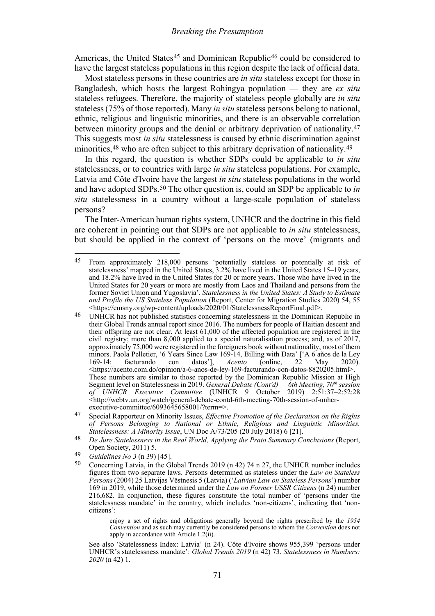Americas, the United States<sup>[45](#page-12-0)</sup> and Dominican Republic<sup>[46](#page-12-1)</sup> could be considered to have the largest stateless populations in this region despite the lack of official data.

Most stateless persons in these countries are *in situ* stateless except for those in Bangladesh, which hosts the largest Rohingya population — they are *ex situ* stateless refugees. Therefore, the majority of stateless people globally are *in situ*  stateless(75% of those reported). Many *in situ* stateless persons belong to national, ethnic, religious and linguistic minorities, and there is an observable correlation between minority groups and the denial or arbitrary deprivation of nationality.[47](#page-12-2) This suggests most *in situ* statelessness is caused by ethnic discrimination against minorities,<sup>[48](#page-12-3)</sup> who are often subject to this arbitrary deprivation of nationality.<sup>[49](#page-12-4)</sup>

<span id="page-12-6"></span>In this regard, the question is whether SDPs could be applicable to *in situ*  statelessness, or to countries with large *in situ* stateless populations. For example, Latvia and Côte d'Ivoire have the largest *in situ* stateless populations in the world and have adopted SDPs.[50](#page-12-5) The other question is, could an SDP be applicable to *in situ* statelessness in a country without a large-scale population of stateless persons?

The Inter-American human rights system, UNHCR and the doctrine in this field are coherent in pointing out that SDPs are not applicable to *in situ* statelessness, but should be applied in the context of 'persons on the move' (migrants and

enjoy a set of rights and obligations generally beyond the rights prescribed by the *1954 Convention* and as such may currently be considered persons to whom the *Convention* does not apply in accordance with Article 1.2(ii).

See also 'Statelessness Index: Latvia' (n [24\)](#page-7-2). Côte d'Ivoire shows 955,399 'persons under UNHCR's statelessness mandate': *Global Trends 2019* (n [42\)](#page-11-0) 73. *Statelessness in Numbers: 2020* (n [42\)](#page-11-0) 1.

<span id="page-12-0"></span><sup>&</sup>lt;sup>45</sup> From approximately 218,000 persons 'potentially stateless or potentially at risk of statelessness' mapped in the United States, 3.2% have lived in the United States 15–19 years, and 18.2% have lived in the United States for 20 or more years. Those who have lived in the United States for 20 years or more are mostly from Laos and Thailand and persons from the former Soviet Union and Yugoslavia'. *Statelessness in the United States: A Study to Estimate and Profile the US Stateless Population* (Report, Center for Migration Studies 2020) 54, 55 <https://cmsny.org/wp-content/uploads/2020/01/StatelessnessReportFinal.pdf>.

<span id="page-12-1"></span><sup>46</sup> UNHCR has not published statistics concerning statelessness in the Dominican Republic in their Global Trends annual report since 2016. The numbers for people of Haitian descent and their offspring are not clear. At least 61,000 of the affected population are registered in the civil registry; more than 8,000 applied to a special naturalisation process; and, as of 2017, approximately 75,000 were registered in the foreigners book without nationality, most of them minors. Paola Pelletier, '6 Years Since Law 169-14, Billing with Data' ['A 6 años de la Ley 169-14: facturando con datos'], *Acento* (online, 22 May 2020). facturando con datos'], *Acento* (online, 22 May 2020). [<https://acento.com.do/opinion/a-6-anos-de-ley-169-facturando-con-datos-8820205.html>](https://acento.com.do/opinion/a-6-anos-de-ley-169-facturando-con-datos-8820205.html). These numbers are similar to those reported by the Dominican Republic Mission at High Segment level on Statelessness in 2019. *General Debate (Cont'd) — 6th Meeting, 70th session of UNHCR Executive Committee* (UNHCR 9 October 2019) 2:51:37–2:52:28 [<http://webtv.un.org/watch/general-debate-contd-6th-meeting-70th-session-of-unhcr](http://webtv.un.org/watch/general-debate-contd-6th-meeting-70th-session-of-unhcr-executive-committee/6093645658001/?term=)[executive-committee/6093645658001/?term=>](http://webtv.un.org/watch/general-debate-contd-6th-meeting-70th-session-of-unhcr-executive-committee/6093645658001/?term=).

<span id="page-12-2"></span><sup>47</sup> Special Rapporteur on Minority Issues, *Effective Promotion of the Declaration on the Rights of Persons Belonging to National or Ethnic, Religious and Linguistic Minorities. Statelessness: A Minority Issue*, UN Doc A/73/205 (20 July 2018) 6 [21].

<span id="page-12-3"></span><sup>&</sup>lt;sup>48</sup> *De Jure Statelessness in the Real World, Applying the Prato Summary Conclusions (Report,* Open Society, 2011) 5.

<span id="page-12-5"></span><span id="page-12-4"></span> $^{49}$  *Guidelines No 3* (n [39\)](#page-10-6) [45].

<sup>50</sup> Concerning Latvia, in the Global Trends 2019 (n [42\)](#page-11-0) 74 n 27, the UNHCR number includes figures from two separate laws. Persons determined as stateless under the *Law on Stateless Persons* (2004) 25 Latvijas Vēstnesis 5 (Latvia) ('*Latvian Law on Stateless Persons*') number 169 in 2019, while those determined under the *Law on Former USSR Citizens* ([n 24\)](#page-7-2) number 216,682. In conjunction, these figures constitute the total number of 'persons under the statelessness mandate' in the country, which includes 'non-citizens', indicating that 'noncitizens':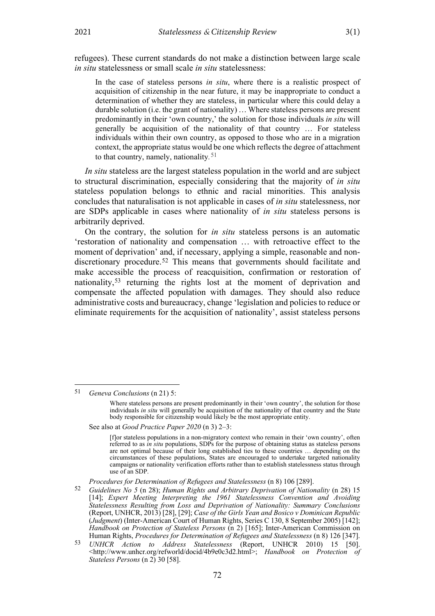refugees). These current standards do not make a distinction between large scale *in situ* statelessness or small scale *in situ* statelessness:

In the case of stateless persons *in situ*, where there is a realistic prospect of acquisition of citizenship in the near future, it may be inappropriate to conduct a determination of whether they are stateless, in particular where this could delay a durable solution (i.e. the grant of nationality) … Where stateless persons are present predominantly in their 'own country,' the solution for those individuals *in situ* will generally be acquisition of the nationality of that country … For stateless individuals within their own country, as opposed to those who are in a migration context, the appropriate status would be one which reflects the degree of attachment to that country, namely, nationality*.*[51](#page-13-0)

*In situ* stateless are the largest stateless population in the world and are subject to structural discrimination, especially considering that the majority of *in situ* stateless population belongs to ethnic and racial minorities. This analysis concludes that naturalisation is not applicable in cases of *in situ* statelessness, nor are SDPs applicable in cases where nationality of *in situ* stateless persons is arbitrarily deprived.

On the contrary, the solution for *in situ* stateless persons is an automatic 'restoration of nationality and compensation … with retroactive effect to the moment of deprivation' and, if necessary, applying a simple, reasonable and non-discretionary procedure.<sup>[52](#page-13-1)</sup> This means that governments should facilitate and make accessible the process of reacquisition, confirmation or restoration of nationality,[53](#page-13-2) returning the rights lost at the moment of deprivation and compensate the affected population with damages. They should also reduce administrative costs and bureaucracy, change 'legislation and policies to reduce or eliminate requirements for the acquisition of nationality', assist stateless persons

See also at *Good Practice Paper 2020* (n 3) 2–3:

[f]or stateless populations in a non-migratory context who remain in their 'own country', often referred to as *in situ* populations, SDPs for the purpose of obtaining status as stateless persons are not optimal because of their long established ties to these countries … depending on the circumstances of these populations, States are encouraged to undertake targeted nationality campaigns or nationality verification efforts rather than to establish statelessness status through use of an SDP.

*Procedures for Determination of Refugees and Statelessness* (n [8\)](#page-2-6) 106 [289].

<span id="page-13-0"></span><sup>51</sup> *Geneva Conclusions* ([n 21\)](#page-6-6) 5:

Where stateless persons are present predominantly in their 'own country', the solution for those individuals *in situ* will generally be acquisition of the nationality of that country and the State body responsible for citizenship would likely be the most appropriate entity.

<span id="page-13-1"></span><sup>52</sup> *Guidelines No 5* (n [28\)](#page-8-5); *Human Rights and Arbitrary Deprivation of Nationality* (n [28\)](#page-8-5) 15 [14]; *Expert Meeting Interpreting the 1961 Statelessness Convention and Avoiding Statelessness Resulting from Loss and Deprivation of Nationality: Summary Conclusions* (Report, UNHCR, 2013) [28], [29]; *Case of the Girls Yean and Bosico v Dominican Republic*  (*Judgment*) (Inter-American Court of Human Rights, Series C 130, 8 September 2005) [142]; *Handbook on Protection of Stateless Persons* (n [2\)](#page-1-7) [165]; Inter-American Commission on Human Rights, *Procedures for Determination of Refugees and Statelessness* (n 8) 126 [347].

<span id="page-13-2"></span><sup>53</sup> *UNHCR Action to Address Statelessness* (Report, UNHCR 2010) 15 [50]. <http://www.unhcr.org/refworld/docid/4b9e0c3d2.html>; *Handbook on Protection of Stateless Persons* (n [2\)](#page-1-7) 30 [58].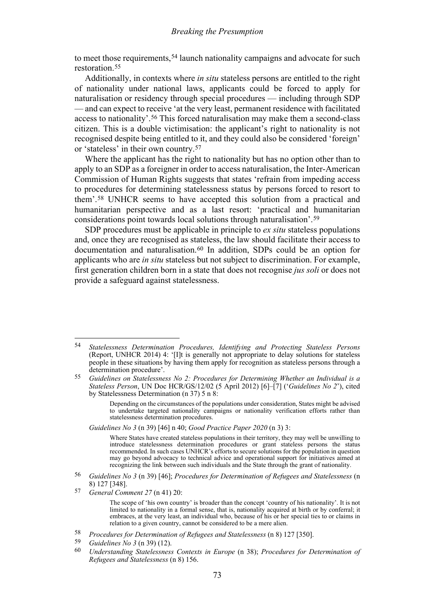<span id="page-14-7"></span>to meet those requirements,<sup>[54](#page-14-0)</sup> launch nationality campaigns and advocate for such restoration.[55](#page-14-1)

Additionally, in contexts where *in situ* stateless persons are entitled to the right of nationality under national laws, applicants could be forced to apply for naturalisation or residency through special procedures — including through SDP — and can expect to receive 'at the very least, permanent residence with facilitated access to nationality'.[56](#page-14-2) This forced naturalisation may make them a second-class citizen. This is a double victimisation: the applicant's right to nationality is not recognised despite being entitled to it, and they could also be considered 'foreign' or 'stateless' in their own country.[57](#page-14-3)

Where the applicant has the right to nationality but has no option other than to apply to an SDP as a foreigner in order to access naturalisation, the Inter-American Commission of Human Rights suggests that states 'refrain from impeding access to procedures for determining statelessness status by persons forced to resort to them'.[58](#page-14-4) UNHCR seems to have accepted this solution from a practical and humanitarian perspective and as a last resort: 'practical and humanitarian considerations point towards local solutions through naturalisation'.[59](#page-14-5)

SDP procedures must be applicable in principle to *ex situ* stateless populations and, once they are recognised as stateless, the law should facilitate their access to documentation and naturalisation.[60](#page-14-6) In addition, SDPs could be an option for applicants who are *in situ* stateless but not subject to discrimination. For example, first generation children born in a state that does not recognise *jus soli* or does not provide a safeguard against statelessness.

*Guidelines No 3* (n [39\)](#page-10-6) [46] n 40; *Good Practice Paper 2020* (n 3) 3:

- <span id="page-14-2"></span>56 *Guidelines No 3* (n [39\)](#page-10-6) [46]; *Procedures for Determination of Refugees and Statelessness* (n [8\)](#page-2-6) 127 [348].
- <span id="page-14-3"></span>57 *General Comment 27* (n [41\)](#page-11-6) 20:

<span id="page-14-6"></span><span id="page-14-5"></span> $59$  *Guidelines No 3* (n [39\)](#page-10-6) (12).

<span id="page-14-0"></span><sup>54</sup> *Statelessness Determination Procedures, Identifying and Protecting Stateless Persons* (Report, UNHCR 2014) 4: '[I]t is generally not appropriate to delay solutions for stateless people in these situations by having them apply for recognition as stateless persons through a determination procedure'.

<span id="page-14-1"></span><sup>55</sup> *Guidelines on Statelessness No 2: Procedures for Determining Whether an Individual is a Stateless Person*, UN Doc HCR/GS/12/02 (5 April 2012) [6]–[7] ('*Guidelines No 2*'), cited by Statelessness Determination (n [37\)](#page-10-7) 5 n 8:

Depending on the circumstances of the populations under consideration, States might be advised to undertake targeted nationality campaigns or nationality verification efforts rather than statelessness determination procedures.

Where States have created stateless populations in their territory, they may well be unwilling to introduce statelessness determination procedures or grant stateless persons the status recommended. In such cases UNHCR's efforts to secure solutions for the population in question may go beyond advocacy to technical advice and operational support for initiatives aimed at recognizing the link between such individuals and the State through the grant of nationality.

The scope of 'his own country' is broader than the concept 'country of his nationality'. It is not limited to nationality in a formal sense, that is, nationality acquired at birth or by conferral; it embraces, at the very least, an individual who, because of his or her special ties to or claims in relation to a given country, cannot be considered to be a mere alien.

<span id="page-14-4"></span><sup>58</sup> *Procedures for Determination of Refugees and Statelessness* (n [8\)](#page-2-6) 127 [350].

<sup>60</sup> *Understanding Statelessness Contexts in Europe* (n [38\)](#page-10-5); *Procedures for Determination of Refugees and Statelessness* ([n 8\)](#page-2-6) 156.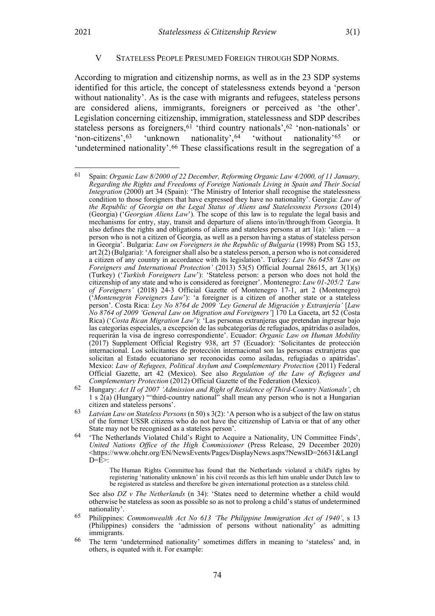#### <span id="page-15-7"></span>V STATELESS PEOPLE PRESUMED FOREIGN THROUGH SDP NORMS.

<span id="page-15-0"></span>According to migration and citizenship norms, as well as in the 23 SDP systems identified for this article, the concept of statelessness extends beyond a 'person without nationality'. As is the case with migrants and refugees, stateless persons are considered aliens, immigrants, foreigners or perceived as 'the other'. Legislation concerning citizenship, immigration, statelessness and SDP describes stateless persons as foreigners,<sup>[61](#page-15-1)</sup> 'third country nationals',<sup>[62](#page-15-2)</sup> 'non-nationals' or 'non-citizens',[63](#page-15-3) 'unknown nationality',[64](#page-15-4) 'without nationality'[65](#page-15-5) or 'undetermined nationality'.[66](#page-15-6) These classifications result in the segregation of a

The [Human Rights Committee](https://www.ohchr.org/EN/HRBodies/CCPR/Pages/CCPRIndex.aspx) has found that the Netherlands violated a child's rights by registering 'nationality unknown' in his civil records as this left him unable under Dutch law to be registered as stateless and therefore be given international protection as a stateless child.

See also *DZ v The Netherlands* (n [34\)](#page-9-6): 'States need to determine whether a child would otherwise be stateless as soon as possible so as not to prolong a child's status of undetermined nationality'.

- <span id="page-15-5"></span>65 Philippines: *Commonwealth Act No 613 'The Philippine Immigration Act of 1940'*, s 13 (Philippines) considers the 'admission of persons without nationality' as admitting immigrants.
- <span id="page-15-6"></span>66 The term 'undetermined nationality' sometimes differs in meaning to 'stateless' and, in others, is equated with it. For example:

<span id="page-15-1"></span><sup>61</sup> Spain: *Organic Law 8/2000 of 22 December, Reforming Organic Law 4/2000, of 11 January, Regarding the Rights and Freedoms of Foreign Nationals Living in Spain and Their Social Integration* (2000) art 34 (Spain): 'The Ministry of Interior shall recognise the statelessness condition to those foreigners that have expressed they have no nationality'. Georgia: *Law of the Republic of Georgia on the Legal Status of Aliens and Statelessness Persons* (2014) (Georgia) ('*Georgian Aliens Law*'). The scope of this law is to regulate the legal basis and mechanisms for entry, stay, transit and departure of aliens into/in/through/from Georgia. It also defines the rights and obligations of aliens and stateless persons at art  $1(a)$ : 'alien — a person who is not a citizen of Georgia, as well as a person having a status of stateless person in Georgia'. Bulgaria: *Law on Foreigners in the Republic of Bulgaria* (1998) Prom SG 153, art 2(2) (Bulgaria): 'A foreigner shall also be a stateless person, a person who is not considered a citizen of any country in accordance with its legislation'. Turkey: *Law No 6458 'Law on Foreigners and International Protection'* (2013) 53(5) Official Journal 28615, art 3(1)(ş) (Turkey) ('*Turkish Foreigners Law*'): 'Stateless person: a person who does not hold the citizenship of any state and who is considered as foreigner'. Montenegro: *Law 01-205/2 'Law of Foreigners'* (2018) 24-3 Official Gazette of Montenegro 17-1, art 2 (Montenegro) ('*Montenegrin Foreigners Law*'): 'a foreigner is a citizen of another state or a stateless person'. Costa Rica: *Ley No 8764 de 2009 'Ley General de Migración y Extranjería'* [*Law No 8764 of 2009 'General Law on Migration and Foreigners'*] 170 La Gaceta, art 52 (Costa Rica) ('*Costa Rican Migration Law*'): 'Las personas extranjeras que pretendan ingresar bajo las categorías especiales, a excepción de las subcategorías de refugiados, apátridas o asilados, requerirán la visa de ingreso correspondiente'. Ecuador: *Organic Law on Human Mobility*  (2017) Supplement Official Registry 938, art 57 (Ecuador): 'Solicitantes de protección internacional. Los solicitantes de protección internacional son las personas extranjeras que solicitan al Estado ecuatoriano ser reconocidas como asiladas, refugiadas o apátridas'. Mexico: *Law of Refugees, Political Asylum and Complementary Protection* (2011) Federal Official Gazette, art 42 (Mexico). See also *Regulation of the Law of Refugees and Complementary Protection* (2012) Official Gazette of the Federation (Mexico).

<span id="page-15-2"></span><sup>62</sup> Hungary: *Act II of 2007 'Admission and Right of Residence of Third-Country Nationals'*, ch 1 s 2(a) (Hungary) "'third-country national" shall mean any person who is not a Hungarian citizen and stateless persons'.

<span id="page-15-3"></span><sup>63</sup> *Latvian Law on Stateless Persons* ([n 50\)](#page-12-6) s 3(2): 'A person who is a subject of the law on status of the former USSR citizens who do not have the citizenship of Latvia or that of any other State may not be recognised as a stateless person'.

<span id="page-15-4"></span><sup>64</sup> 'The Netherlands Violated Child's Right to Acquire a Nationality, UN Committee Finds', *United Nations Office of the High Commissioner* (Press Release, 29 December 2020) <https://www.ohchr.org/EN/NewsEvents/Pages/DisplayNews.aspx?NewsID=26631&LangI  $D=\dot{E}$ :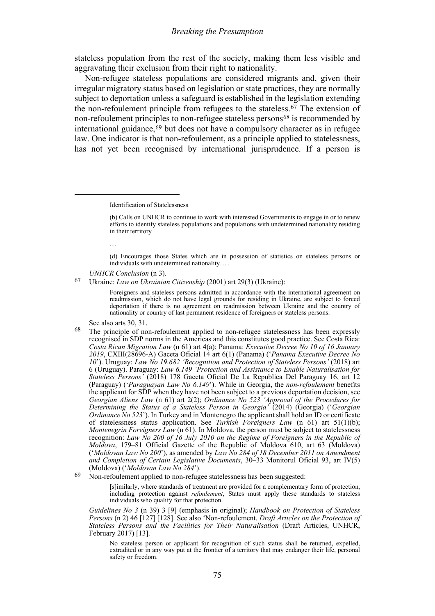#### <span id="page-16-3"></span>*Breaking the Presumption*

stateless population from the rest of the society, making them less visible and aggravating their exclusion from their right to nationality.

Non-refugee stateless populations are considered migrants and, given their irregular migratory status based on legislation or state practices, they are normally subject to deportation unless a safeguard is established in the legislation extending the non-refoulement principle from refugees to the stateless.<sup>[67](#page-16-0)</sup> The extension of non-refoulement principles to non-refugee stateless persons<sup>[68](#page-16-1)</sup> is recommended by international guidance,[69](#page-16-2) but does not have a compulsory character as in refugee law. One indicator is that non-refoulement, as a principle applied to statelessness, has not yet been recognised by international jurisprudence. If a person is

…

(d) Encourages those States which are in possession of statistics on stateless persons or individuals with undetermined nationality… .

*UNHCR Conclusion* (n [3\)](#page-1-6).

<span id="page-16-0"></span>67 Ukraine: *Law on Ukrainian Citizenship* (2001) art 29(3) (Ukraine):

Foreigners and stateless persons admitted in accordance with the international agreement on readmission, which do not have legal grounds for residing in Ukraine, are subject to forced deportation if there is no agreement on readmission between Ukraine and the country of nationality or country of last permanent residence of foreigners or stateless persons.

- See also arts 30, 31.
- <span id="page-16-1"></span>68 The principle of non-refoulement applied to non-refugee statelessness has been expressly recognised in SDP norms in the Americas and this constitutes good practice. See Costa Rica: *Costa Rican Migration Law* (n [61\)](#page-15-7) art 4(a); Panama: *Executive Decree No 10 of 16 January 2019*, CXIII(28696-A) Gaceta Oficial 14 art 6(1) (Panama) ('*Panama Executive Decree No 10*'). Uruguay: *Law No 19.682 'Recognition and Protection of Stateless Persons'* (2018) art 6 (Uruguay). Paraguay: *Law 6.149 'Protection and Assistance to Enable Naturalisation for Stateless Persons'* (2018) 178 Gaceta Oficial De La Republica Del Paraguay 16, art 12 (Paraguay) ('*Paraguayan Law No 6.149*'). While in Georgia, the *non-refoulement* benefits the applicant for SDP when they have not been subject to a previous deportation decision, see *Georgian Aliens Law* (n [61\)](#page-15-7) art 2(2); *Ordinance No 523 'Approval of the Procedures for Determining the Status of a Stateless Person in Georgia'* (2014) (Georgia) ('*Georgian Ordinance No 523*'). In Turkey and in Montenegro the applicant shall hold an ID or certificate of statelessness status application. See *Turkish Foreigners Law* (n [61\)](#page-15-7) art 51(1)(b); *Montenegrin Foreigners Law* ([n 61\)](#page-15-7). In Moldova, the person must be subject to statelessness recognition: *Law No 200 of 16 July 2010 on the Regime of Foreigners in the Republic of Moldova*, 179–81 Official Gazette of the Republic of Moldova 610, art 63 (Moldova) ('*Moldovan Law No 200*'), as amended by *Law No 284 of 18 December 2011 on Amendment and Completion of Certain Legislative Documents*, 30–33 Monitorul Oficial 93, art IV(5)
- <span id="page-16-2"></span><sup>69</sup> Non-refoulement applied to non-refugee statelessness has been suggested:

[s]imilarly, where standards of treatment are provided for a complementary form of protection, including protection against *refoulement*, States must apply these standards to stateless individuals who qualify for that protection.

*Guidelines No 3* (n [39\)](#page-10-6) 3 [9] (emphasis in original); *Handbook on Protection of Stateless Persons* ([n 2\)](#page-1-7) 46 [127] [128]. See also 'Non-refoulement. *Draft Articles on the Protection of Stateless Persons and the Facilities for Their Naturalisation* (Draft Articles, UNHCR, February 2017) [13].

No stateless person or applicant for recognition of such status shall be returned, expelled, extradited or in any way put at the frontier of a territory that may endanger their life, personal safety or freedom.

Identification of Statelessness

<sup>(</sup>b) Calls on UNHCR to continue to work with interested Governments to engage in or to renew efforts to identify stateless populations and populations with undetermined nationality residing in their territory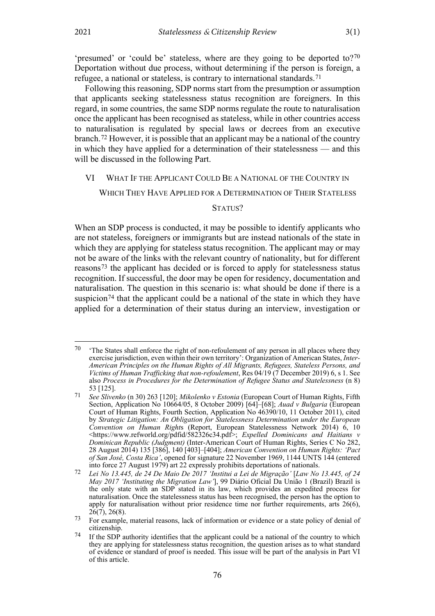'presumed' or 'could be' stateless, where are they going to be deported to[?70](#page-17-1) Deportation without due process, without determining if the person is foreign, a refugee, a national or stateless, is contrary to international standards.<sup>[71](#page-17-2)</sup>

Following this reasoning, SDP norms start from the presumption or assumption that applicants seeking statelessness status recognition are foreigners. In this regard, in some countries, the same SDP norms regulate the route to naturalisation once the applicant has been recognised as stateless, while in other countries access to naturalisation is regulated by special laws or decrees from an executive branch.[72](#page-17-3) However, it is possible that an applicant may be a national of the country in which they have applied for a determination of their statelessness — and this will be discussed in the following Part.

### <span id="page-17-0"></span>VI WHAT IF THE APPLICANT COULD BE A NATIONAL OF THE COUNTRY IN

WHICH THEY HAVE APPLIED FOR A DETERMINATION OF THEIR STATELESS

#### STATUS?

When an SDP process is conducted, it may be possible to identify applicants who are not stateless, foreigners or immigrants but are instead nationals of the state in which they are applying for stateless status recognition. The applicant may or may not be aware of the links with the relevant country of nationality, but for different reasons[73](#page-17-4) the applicant has decided or is forced to apply for statelessness status recognition. If successful, the door may be open for residency, documentation and naturalisation. The question in this scenario is: what should be done if there is a suspicion<sup>[74](#page-17-5)</sup> that the applicant could be a national of the state in which they have applied for a determination of their status during an interview, investigation or

<span id="page-17-1"></span><sup>&</sup>lt;sup>70</sup> 'The States shall enforce the right of non-refoulement of any person in all places where they exercise jurisdiction, even within their own territory': Organization of American States, *Inter-American Principles on the Human Rights of All Migrants, Refugees, Stateless Persons, and Victims of Human Trafficking that non-refoulement*, Res 04/19 (7 December 2019) 6, s 1. See also *Process in Procedures for the Determination of Refugee Status and Statelessness* (n 8) 53 [125].

<span id="page-17-2"></span><sup>71</sup> *See Slivenko* (n [30\)](#page-9-7) 263 [120]; *Mikolenko v Estonia* (European Court of Human Rights, Fifth Section, Application No 10664/05, 8 October 2009) [64]–[68]; *Auad v Bulgaria* (European Court of Human Rights, Fourth Section, Application No 46390/10, 11 October 2011), cited by *Strategic Litigation: An Obligation for Statelessness Determination under the European Convention on Human Right*s (Report, European Statelessness Network 2014) 6, 10 [<https://www.refworld.org/pdfid/582326c34.pdf>](https://www.refworld.org/pdfid/582326c34.pdf); *Expelled Dominicans and Haitians v Dominican Republic (Judgment)* (Inter-American Court of Human Rights, Series C No 282, 28 August 2014) 135 [386], 140 [403]–[404]; *American Convention on Human Rights: 'Pact of San José, Costa Rica'*, opened for signature 22 November 1969, 1144 UNTS 144 (entered into force 27 August 1979) art 22 expressly prohibits deportations of nationals.

<span id="page-17-3"></span><sup>72</sup> *Lei No 13.445, de 24 De Maio De 2017 'Institui a Lei de Migração'* [*Law No 13.445, of 24 May 2017 'Instituting the Migration Law'*], 99 Diário Oficial Da União 1 (Brazil) Brazil is the only state with an SDP stated in its law, which provides an expedited process for naturalisation. Once the statelessness status has been recognised, the person has the option to apply for naturalisation without prior residence time nor further requirements, arts 26(6),  $26(7)$ ,  $26(8)$ .

<span id="page-17-4"></span><sup>73</sup> For example, material reasons, lack of information or evidence or a state policy of denial of citizenship.

<span id="page-17-5"></span><sup>74</sup> If the SDP authority identifies that the applicant could be a national of the country to which they are applying for statelessness status recognition, the question arises as to what standard of evidence or standard of proof is needed. This issue will be part of the analysis in Part VI of this article.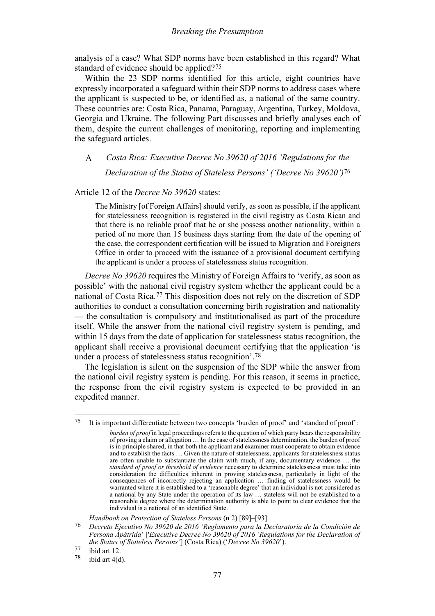analysis of a case? What SDP norms have been established in this regard? What standard of evidence should be applied?[75](#page-18-1)

Within the 23 SDP norms identified for this article, eight countries have expressly incorporated a safeguard within their SDP norms to address cases where the applicant is suspected to be, or identified as, a national of the same country. These countries are: Costa Rica, Panama, Paraguay, Argentina, Turkey, Moldova, Georgia and Ukraine. The following Part discusses and briefly analyses each of them, despite the current challenges of monitoring, reporting and implementing the safeguard articles.

#### <span id="page-18-0"></span>*Costa Rica: Executive Decree No 39620 of 2016 'Regulations for the*   $\overline{A}$ *Declaration of the Status of Stateless Persons' ('Decree No 39620')*[76](#page-18-2)

#### Article 12 of the *Decree No 39620* states:

<span id="page-18-5"></span>The Ministry [of Foreign Affairs] should verify, as soon as possible, if the applicant for statelessness recognition is registered in the civil registry as Costa Rican and that there is no reliable proof that he or she possess another nationality, within a period of no more than 15 business days starting from the date of the opening of the case, the correspondent certification will be issued to Migration and Foreigners Office in order to proceed with the issuance of a provisional document certifying the applicant is under a process of statelessness status recognition.

*Decree No 39620* requires the Ministry of Foreign Affairs to 'verify, as soon as possible' with the national civil registry system whether the applicant could be a national of Costa Rica.[77](#page-18-3) This disposition does not rely on the discretion of SDP authorities to conduct a consultation concerning birth registration and nationality — the consultation is compulsory and institutionalised as part of the procedure itself. While the answer from the national civil registry system is pending, and within 15 days from the date of application for statelessness status recognition, the applicant shall receive a provisional document certifying that the application 'is under a process of statelessness status recognition'.[78](#page-18-4)

The legislation is silent on the suspension of the SDP while the answer from the national civil registry system is pending. For this reason, it seems in practice, the response from the civil registry system is expected to be provided in an expedited manner.

*Handbook on Protection of Stateless Persons* ([n 2\)](#page-1-7) [89]–[93].

<span id="page-18-1"></span><sup>75</sup> It is important differentiate between two concepts 'burden of proof' and 'standard of proof':

*burden of proof* in legal proceedings refers to the question of which party bears the responsibility of proving a claim or allegation … In the case of statelessness determination, the burden of proof is in principle shared, in that both the applicant and examiner must cooperate to obtain evidence and to establish the facts … Given the nature of statelessness, applicants for statelessness status are often unable to substantiate the claim with much, if any, documentary evidence … the *standard of proof or threshold of evidence* necessary to determine statelessness must take into consideration the difficulties inherent in proving statelessness, particularly in light of the consequences of incorrectly rejecting an application … finding of statelessness would be warranted where it is established to a 'reasonable degree' that an individual is not considered as a national by any State under the operation of its law … stateless will not be established to a reasonable degree where the determination authority is able to point to clear evidence that the individual is a national of an identified State.

<span id="page-18-2"></span><sup>76</sup> *Decreto Ejecutivo No 39620 de 2016 'Reglamento para la Declaratoria de la Condición de Persona Apátrida*' ['*Executive Decree No 39620 of 2016 'Regulations for the Declaration of the Status of Stateless Persons'*] (Costa Rica) ('*Decree No 39620*').

<span id="page-18-3"></span> $\frac{77}{78}$  ibid art 12.

<span id="page-18-4"></span>ibid art  $4(d)$ .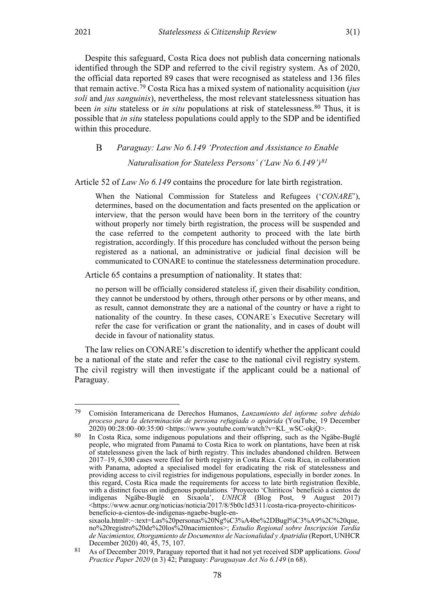Despite this safeguard, Costa Rica does not publish data concerning nationals identified through the SDP and referred to the civil registry system. As of 2020, the official data reported 89 cases that were recognised as stateless and 136 files that remain active.[79](#page-19-1) Costa Rica has a mixed system of nationality acquisition (*jus soli* and *jus sanguinis*), nevertheless, the most relevant statelessness situation has been *in situ* stateless or *in situ* populations at risk of statelessness.<sup>[80](#page-19-2)</sup> Thus, it is possible that *in situ* stateless populations could apply to the SDP and be identified within this procedure.

<span id="page-19-0"></span> $\bf{B}$ *Paraguay: Law No 6.149 'Protection and Assistance to Enable Naturalisation for Stateless Persons' ('Law No 6.149')[81](#page-19-3)*

Article 52 of *Law No 6.149* contains the procedure for late birth registration.

When the National Commission for Stateless and Refugees ('*CONARE*'), determines, based on the documentation and facts presented on the application or interview, that the person would have been born in the territory of the country without properly nor timely birth registration, the process will be suspended and the case referred to the competent authority to proceed with the late birth registration, accordingly. If this procedure has concluded without the person being registered as a national, an administrative or judicial final decision will be communicated to CONARE to continue the statelessness determination procedure.

Article 65 contains a presumption of nationality*.* It states that:

no person will be officially considered stateless if, given their disability condition, they cannot be understood by others, through other persons or by other means, and as result, cannot demonstrate they are a national of the country or have a right to nationality of the country. In these cases, CONARE´s Executive Secretary will refer the case for verification or grant the nationality, and in cases of doubt will decide in favour of nationality status.

The law relies on CONARE's discretion to identify whether the applicant could be a national of the state and refer the case to the national civil registry system. The civil registry will then investigate if the applicant could be a national of Paraguay.

<span id="page-19-1"></span><sup>79</sup> Comisión Interamericana de Derechos Humanos, *Lanzamiento del informe sobre debido proceso para la determinación de persona refugiada o apátrida* (YouTube, 19 December  $2020)$   $00:28:00-00:35:00$  <https://www.youtube.com/watch?v=KL\_wSC-okjQ>.

<span id="page-19-2"></span> $80$  In Costa Rica, some indigenous populations and their offspring, such as the Ngäbe-Buglé people, who migrated from Panamá to Costa Rica to work on plantations, have been at risk of statelessness given the lack of birth registry. This includes abandoned children. Between 2017–19, 6,300 cases were filed for birth registry in Costa Rica. Costa Rica, in collaboration with Panama, adopted a specialised model for eradicating the risk of statelessness and providing access to civil registries for indigenous populations, especially in border zones. In this regard, Costa Rica made the requirements for access to late birth registration flexible, with a distinct focus on indigenous populations*.* 'Proyecto 'Chiriticos' benefició a cientos de indígenas Ngäbe-Buglé en Sixaola', *UNHCR* (Blog Post, 9 August 2017) [<https://www.acnur.org/noticias/noticia/2017/8/5b0c1d5311/costa-rica-proyecto-chiriticos](https://www.acnur.org/noticias/noticia/2017/8/5b0c1d5311/costa-rica-proyecto-chiriticos-beneficio-a-cientos-de-indigenas-ngaebe-bugle-en-sixaola.html#:%7E:text=Las%20personas%20Ng%C3%A4be%2DBugl%C3%A9%2C%20que,no%20registro%20de%20los%20nacimientos)[beneficio-a-cientos-de-indigenas-ngaebe-bugle-en](https://www.acnur.org/noticias/noticia/2017/8/5b0c1d5311/costa-rica-proyecto-chiriticos-beneficio-a-cientos-de-indigenas-ngaebe-bugle-en-sixaola.html#:%7E:text=Las%20personas%20Ng%C3%A4be%2DBugl%C3%A9%2C%20que,no%20registro%20de%20los%20nacimientos)[sixaola.html#:~:text=Las%20personas%20Ng%C3%A4be%2DBugl%C3%A9%2C%20que,](https://www.acnur.org/noticias/noticia/2017/8/5b0c1d5311/costa-rica-proyecto-chiriticos-beneficio-a-cientos-de-indigenas-ngaebe-bugle-en-sixaola.html#:%7E:text=Las%20personas%20Ng%C3%A4be%2DBugl%C3%A9%2C%20que,no%20registro%20de%20los%20nacimientos) [no%20registro%20de%20los%20nacimientos>](https://www.acnur.org/noticias/noticia/2017/8/5b0c1d5311/costa-rica-proyecto-chiriticos-beneficio-a-cientos-de-indigenas-ngaebe-bugle-en-sixaola.html#:%7E:text=Las%20personas%20Ng%C3%A4be%2DBugl%C3%A9%2C%20que,no%20registro%20de%20los%20nacimientos); *Estudio Regional sobre Inscripción Tardía de Nacimientos, Otorgamiento de Documentos de Nacionalidad y Apatridia* (Report, UNHCR

<span id="page-19-3"></span>December 2020) 40, 45, 75, 107. 81 As of December 2019, Paraguay reported that it had not yet received SDP applications. *Good Practice Paper 2020* (n 3) 42; Paraguay: *Paraguayan Act No 6.149* (n [68\)](#page-16-3).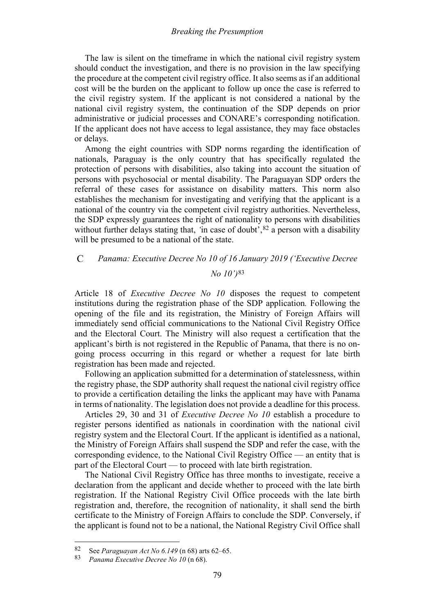### *Breaking the Presumption*

The law is silent on the timeframe in which the national civil registry system should conduct the investigation, and there is no provision in the law specifying the procedure at the competent civil registry office. It also seems as if an additional cost will be the burden on the applicant to follow up once the case is referred to the civil registry system. If the applicant is not considered a national by the national civil registry system, the continuation of the SDP depends on prior administrative or judicial processes and CONARE's corresponding notification. If the applicant does not have access to legal assistance, they may face obstacles or delays.

Among the eight countries with SDP norms regarding the identification of nationals, Paraguay is the only country that has specifically regulated the protection of persons with disabilities, also taking into account the situation of persons with psychosocial or mental disability. The Paraguayan SDP orders the referral of these cases for assistance on disability matters. This norm also establishes the mechanism for investigating and verifying that the applicant is a national of the country via the competent civil registry authorities. Nevertheless, the SDP expressly guarantees the right of nationality to persons with disabilities without further delays stating that, 'in case of doubt',<sup>[82](#page-20-1)</sup> a person with a disability will be presumed to be a national of the state.

#### <span id="page-20-0"></span> $\mathcal{C}$ *Panama: Executive Decree No 10 of 16 January 2019 ('Executive Decree No 10')*[83](#page-20-2)

Article 18 of *Executive Decree No 10* disposes the request to competent institutions during the registration phase of the SDP application*.* Following the opening of the file and its registration, the Ministry of Foreign Affairs will immediately send official communications to the National Civil Registry Office and the Electoral Court. The Ministry will also request a certification that the applicant's birth is not registered in the Republic of Panama, that there is no ongoing process occurring in this regard or whether a request for late birth registration has been made and rejected.

Following an application submitted for a determination of statelessness, within the registry phase, the SDP authority shall request the national civil registry office to provide a certification detailing the links the applicant may have with Panama in terms of nationality. The legislation does not provide a deadline for this process.

Articles 29, 30 and 31 of *Executive Decree No 10* establish a procedure to register persons identified as nationals in coordination with the national civil registry system and the Electoral Court. If the applicant is identified as a national, the Ministry of Foreign Affairs shall suspend the SDP and refer the case, with the corresponding evidence, to the National Civil Registry Office — an entity that is part of the Electoral Court — to proceed with late birth registration.

The National Civil Registry Office has three months to investigate, receive a declaration from the applicant and decide whether to proceed with the late birth registration. If the National Registry Civil Office proceeds with the late birth registration and, therefore, the recognition of nationality, it shall send the birth certificate to the Ministry of Foreign Affairs to conclude the SDP. Conversely, if the applicant is found not to be a national, the National Registry Civil Office shall

<span id="page-20-1"></span><sup>82</sup> See *Paraguayan Act No 6.149* ([n 68\)](#page-16-3) arts 62–65.

<span id="page-20-2"></span><sup>83</sup> *Panama Executive Decree No 10* (n [68\)](#page-16-3).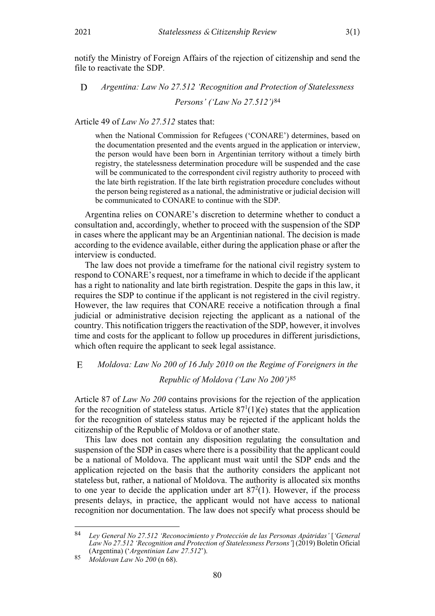notify the Ministry of Foreign Affairs of the rejection of citizenship and send the file to reactivate the SDP.

#### <span id="page-21-0"></span>D *Argentina: Law No 27.512 'Recognition and Protection of Statelessness Persons' ('Law No 27.512')*[84](#page-21-2)

Article 49 of *Law No 27.512* states that:

<span id="page-21-4"></span>when the National Commission for Refugees ('CONARE') determines, based on the documentation presented and the events argued in the application or interview, the person would have been born in Argentinian territory without a timely birth registry, the statelessness determination procedure will be suspended and the case will be communicated to the correspondent civil registry authority to proceed with the late birth registration. If the late birth registration procedure concludes without the person being registered as a national, the administrative or judicial decision will be communicated to CONARE to continue with the SDP.

Argentina relies on CONARE's discretion to determine whether to conduct a consultation and, accordingly, whether to proceed with the suspension of the SDP in cases where the applicant may be an Argentinian national. The decision is made according to the evidence available, either during the application phase or after the interview is conducted.

The law does not provide a timeframe for the national civil registry system to respond to CONARE's request, nor a timeframe in which to decide if the applicant has a right to nationality and late birth registration. Despite the gaps in this law, it requires the SDP to continue if the applicant is not registered in the civil registry. However, the law requires that CONARE receive a notification through a final judicial or administrative decision rejecting the applicant as a national of the country. This notification triggers the reactivation of the SDP, however, it involves time and costs for the applicant to follow up procedures in different jurisdictions, which often require the applicant to seek legal assistance.

#### <span id="page-21-1"></span> $E$ *Moldova: Law No 200 of 16 July 2010 on the Regime of Foreigners in the*

# *Republic of Moldova ('Law No 200')*[85](#page-21-3)

Article 87 of *Law No 200* contains provisions for the rejection of the application for the recognition of stateless status. Article  $87<sup>1</sup>(1)(e)$  states that the application for the recognition of stateless status may be rejected if the applicant holds the citizenship of the Republic of Moldova or of another state.

This law does not contain any disposition regulating the consultation and suspension of the SDP in cases where there is a possibility that the applicant could be a national of Moldova. The applicant must wait until the SDP ends and the application rejected on the basis that the authority considers the applicant not stateless but, rather, a national of Moldova. The authority is allocated six months to one year to decide the application under art  $87<sup>2</sup>(1)$ . However, if the process presents delays, in practice, the applicant would not have access to national recognition nor documentation. The law does not specify what process should be

<span id="page-21-2"></span><sup>84</sup> *Ley General No 27.512 'Reconocimiento y Protección de las Personas Apátridas'* [*'General Law No 27.512 'Recognition and Protection of Statelessness Persons'*] (2019) Boletín Oficial (Argentina) ('*Argentinian Law 27.512*').

<span id="page-21-3"></span><sup>85</sup> *Moldovan Law No 200* (n [68\)](#page-16-3).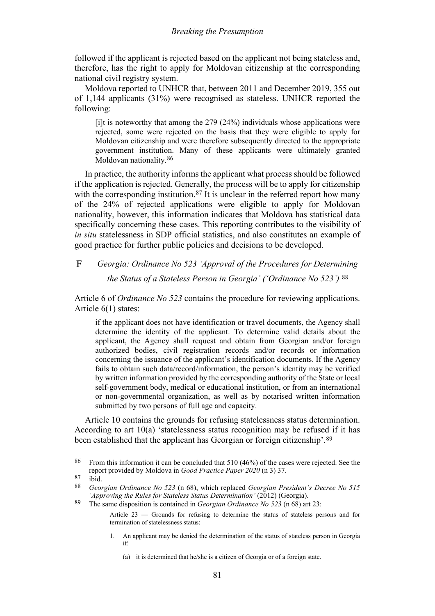### *Breaking the Presumption*

followed if the applicant is rejected based on the applicant not being stateless and, therefore, has the right to apply for Moldovan citizenship at the corresponding national civil registry system.

Moldova reported to UNHCR that, between 2011 and December 2019, 355 out of 1,144 applicants (31%) were recognised as stateless. UNHCR reported the following:

[i]t is noteworthy that among the 279 (24%) individuals whose applications were rejected, some were rejected on the basis that they were eligible to apply for Moldovan citizenship and were therefore subsequently directed to the appropriate government institution. Many of these applicants were ultimately granted Moldovan nationality.[86](#page-22-1)

In practice, the authority informs the applicant what process should be followed if the application is rejected. Generally, the process will be to apply for citizenship with the corresponding institution.<sup>[87](#page-22-2)</sup> It is unclear in the referred report how many of the 24% of rejected applications were eligible to apply for Moldovan nationality, however, this information indicates that Moldova has statistical data specifically concerning these cases. This reporting contributes to the visibility of *in situ* statelessness in SDP official statistics, and also constitutes an example of good practice for further public policies and decisions to be developed.

#### <span id="page-22-0"></span> $\mathbf{F}$ *Georgia: Ordinance No 523 'Approval of the Procedures for Determining*

*the Status of a Stateless Person in Georgia' ('Ordinance No 523')* [88](#page-22-3)

Article 6 of *Ordinance No 523* contains the procedure for reviewing applications. Article 6(1) states:

if the applicant does not have identification or travel documents, the Agency shall determine the identity of the applicant. To determine valid details about the applicant, the Agency shall request and obtain from Georgian and/or foreign authorized bodies, civil registration records and/or records or information concerning the issuance of the applicant's identification documents. If the Agency fails to obtain such data/record/information, the person's identity may be verified by written information provided by the corresponding authority of the State or local self-government body, medical or educational institution, or from an international or non-governmental organization, as well as by notarised written information submitted by two persons of full age and capacity.

Article 10 contains the grounds for refusing statelessness status determination. According to art 10(a) 'statelessness status recognition may be refused if it has been established that the applicant has Georgian or foreign citizenship'.[89](#page-22-4)

1. An applicant may be denied the determination of the status of stateless person in Georgia if:

<span id="page-22-1"></span><sup>86</sup> From this information it can be concluded that 510 (46%) of the cases were rejected. See the report provided by Moldova in *Good Practice Paper 2020* (n 3) 37.

<span id="page-22-2"></span> $\frac{87}{88}$  ibid.

<span id="page-22-3"></span><sup>88</sup> *Georgian Ordinance No 523* (n [68\)](#page-16-3), which replaced *Georgian President's Decree No 515 'Approving the Rules for Stateless Status Determination'* (2012) (Georgia).

<span id="page-22-4"></span><sup>89</sup> The same disposition is contained in *Georgian Ordinance No 523* (n [68\)](#page-16-3) art 23:

Article 23 — Grounds for refusing to determine the status of stateless persons and for termination of statelessness status:

<sup>(</sup>a) it is determined that he/she is a citizen of Georgia or of a foreign state.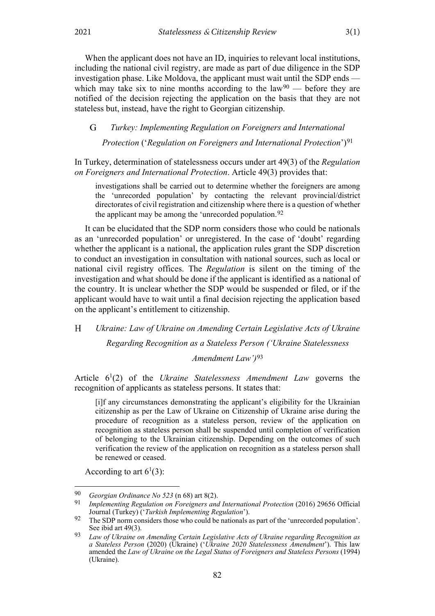When the applicant does not have an ID, inquiries to relevant local institutions, including the national civil registry, are made as part of due diligence in the SDP investigation phase. Like Moldova, the applicant must wait until the SDP ends which may take six to nine months according to the  $law<sup>90</sup>$  $law<sup>90</sup>$  $law<sup>90</sup>$  — before they are notified of the decision rejecting the application on the basis that they are not stateless but, instead, have the right to Georgian citizenship.

<span id="page-23-0"></span>*Turkey: Implementing Regulation on Foreigners and International*  G

<span id="page-23-6"></span>*Protection* ('*Regulation on Foreigners and International Protection*')[91](#page-23-3)

In Turkey, determination of statelessness occurs under art 49(3) of the *Regulation on Foreigners and International Protection*. Article 49(3) provides that:

investigations shall be carried out to determine whether the foreigners are among the 'unrecorded population' by contacting the relevant provincial/district directorates of civil registration and citizenship where there is a question of whether the applicant may be among the 'unrecorded population.<sup>[92](#page-23-4)</sup>

It can be elucidated that the SDP norm considers those who could be nationals as an 'unrecorded population' or unregistered. In the case of 'doubt' regarding whether the applicant is a national, the application rules grant the SDP discretion to conduct an investigation in consultation with national sources, such as local or national civil registry offices. The *Regulation* is silent on the timing of the investigation and what should be done if the applicant is identified as a national of the country. It is unclear whether the SDP would be suspended or filed, or if the applicant would have to wait until a final decision rejecting the application based on the applicant's entitlement to citizenship.

<span id="page-23-1"></span> $H$ *Ukraine: Law of Ukraine on Amending Certain Legislative Acts of Ukraine* 

*Regarding Recognition as a Stateless Person ('Ukraine Statelessness* 

<span id="page-23-7"></span>*Amendment Law')*[93](#page-23-5)

Article  $6<sup>1</sup>(2)$  of the *Ukraine Statelessness Amendment Law* governs the recognition of applicants as stateless persons. It states that:

[i]f any circumstances demonstrating the applicant's eligibility for the Ukrainian citizenship as per the Law of Ukraine on Citizenship of Ukraine arise during the procedure of recognition as a stateless person, review of the application on recognition as stateless person shall be suspended until completion of verification of belonging to the Ukrainian citizenship. Depending on the outcomes of such verification the review of the application on recognition as a stateless person shall be renewed or ceased.

According to art  $6^1(3)$ :

<span id="page-23-3"></span><span id="page-23-2"></span><sup>90</sup> *Georgian Ordinance No 523* ([n 68\)](#page-16-3) art 8(2).

<sup>91</sup> *Implementing Regulation on Foreigners and International Protection* (2016) 29656 Official Journal (Turkey) ('*Turkish Implementing Regulation*').

<span id="page-23-4"></span><sup>92</sup> The SDP norm considers those who could be nationals as part of the 'unrecorded population'. See ibid art 49(3).

<span id="page-23-5"></span><sup>93</sup> *Law of Ukraine on Amending Certain Legislative Acts of Ukraine regarding Recognition as a Stateless Person* (2020) (Ukraine) ('*Ukraine 2020 Statelessness Amendment*'). This law amended the *Law of Ukraine on the Legal Status of Foreigners and Stateless Persons* (1994) (Ukraine).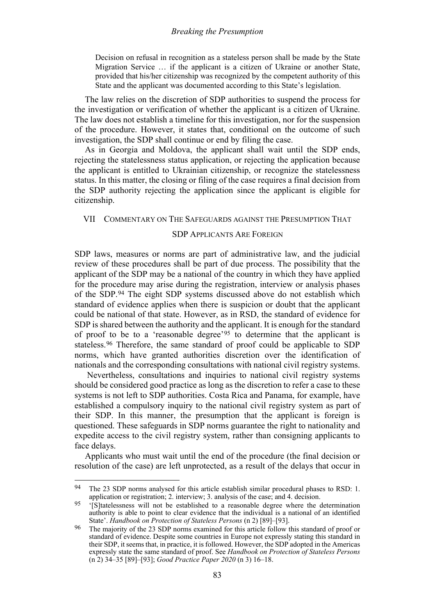Decision on refusal in recognition as a stateless person shall be made by the State Migration Service … if the applicant is a citizen of Ukraine or another State, provided that his/her citizenship was recognized by the competent authority of this State and the applicant was documented according to this State's legislation.

The law relies on the discretion of SDP authorities to suspend the process for the investigation or verification of whether the applicant is a citizen of Ukraine. The law does not establish a timeline for this investigation, nor for the suspension of the procedure. However, it states that, conditional on the outcome of such investigation, the SDP shall continue or end by filing the case.

As in Georgia and Moldova, the applicant shall wait until the SDP ends, rejecting the statelessness status application, or rejecting the application because the applicant is entitled to Ukrainian citizenship, or recognize the statelessness status. In this matter, the closing or filing of the case requires a final decision from the SDP authority rejecting the application since the applicant is eligible for citizenship.

#### <span id="page-24-0"></span>VII COMMENTARY ON THE SAFEGUARDS AGAINST THE PRESUMPTION THAT

#### SDP APPLICANTS ARE FOREIGN

SDP laws, measures or norms are part of administrative law, and the judicial review of these procedures shall be part of due process. The possibility that the applicant of the SDP may be a national of the country in which they have applied for the procedure may arise during the registration, interview or analysis phases of the SDP.[94](#page-24-1) The eight SDP systems discussed above do not establish which standard of evidence applies when there is suspicion or doubt that the applicant could be national of that state. However, as in RSD, the standard of evidence for SDP is shared between the authority and the applicant. It is enough for the standard of proof to be to a 'reasonable degree'<sup>[95](#page-24-2)</sup> to determine that the applicant is stateless.[96](#page-24-3) Therefore, the same standard of proof could be applicable to SDP norms, which have granted authorities discretion over the identification of nationals and the corresponding consultations with national civil registry systems.

Nevertheless, consultations and inquiries to national civil registry systems should be considered good practice as long as the discretion to refer a case to these systems is not left to SDP authorities. Costa Rica and Panama, for example, have established a compulsory inquiry to the national civil registry system as part of their SDP. In this manner, the presumption that the applicant is foreign is questioned. These safeguards in SDP norms guarantee the right to nationality and expedite access to the civil registry system, rather than consigning applicants to face delays.

Applicants who must wait until the end of the procedure (the final decision or resolution of the case) are left unprotected, as a result of the delays that occur in

<span id="page-24-1"></span><sup>94</sup> The 23 SDP norms analysed for this article establish similar procedural phases to RSD: 1. application or registration; 2. interview; 3. analysis of the case; and 4. decision.

<span id="page-24-2"></span><sup>&</sup>lt;sup>95</sup> '[S]tatelessness will not be established to a reasonable degree where the determination authority is able to point to clear evidence that the individual is a national of an identified State'. *Handbook on Protection of Stateless Persons* (n [2\)](#page-1-7) [89]–[93].

<span id="page-24-3"></span><sup>96</sup> The majority of the 23 SDP norms examined for this article follow this standard of proof or standard of evidence. Despite some countries in Europe not expressly stating this standard in their SDP, it seems that, in practice, it is followed. However, the SDP adopted in the Americas expressly state the same standard of proof. See *Handbook on Protection of Stateless Persons*  ([n 2\)](#page-1-7) 34–35 [89]–[93]; *Good Practice Paper 2020* (n 3) 16–18.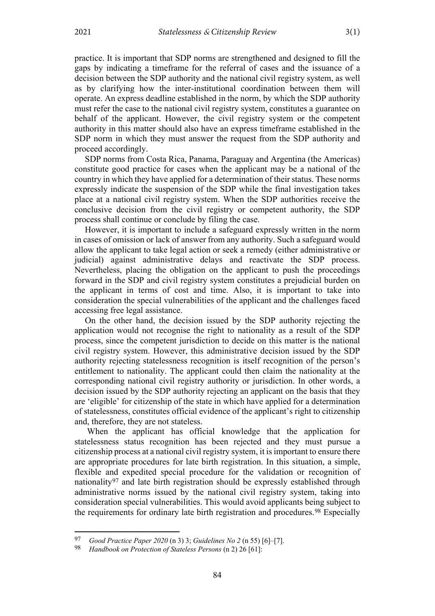practice. It is important that SDP norms are strengthened and designed to fill the gaps by indicating a timeframe for the referral of cases and the issuance of a decision between the SDP authority and the national civil registry system, as well as by clarifying how the inter-institutional coordination between them will operate. An express deadline established in the norm, by which the SDP authority must refer the case to the national civil registry system, constitutes a guarantee on behalf of the applicant. However, the civil registry system or the competent authority in this matter should also have an express timeframe established in the SDP norm in which they must answer the request from the SDP authority and proceed accordingly.

SDP norms from Costa Rica, Panama, Paraguay and Argentina (the Americas) constitute good practice for cases when the applicant may be a national of the country in which they have applied for a determination of their status. These norms expressly indicate the suspension of the SDP while the final investigation takes place at a national civil registry system. When the SDP authorities receive the conclusive decision from the civil registry or competent authority, the SDP process shall continue or conclude by filing the case.

However, it is important to include a safeguard expressly written in the norm in cases of omission or lack of answer from any authority. Such a safeguard would allow the applicant to take legal action or seek a remedy (either administrative or judicial) against administrative delays and reactivate the SDP process. Nevertheless, placing the obligation on the applicant to push the proceedings forward in the SDP and civil registry system constitutes a prejudicial burden on the applicant in terms of cost and time. Also, it is important to take into consideration the special vulnerabilities of the applicant and the challenges faced accessing free legal assistance.

On the other hand, the decision issued by the SDP authority rejecting the application would not recognise the right to nationality as a result of the SDP process, since the competent jurisdiction to decide on this matter is the national civil registry system. However, this administrative decision issued by the SDP authority rejecting statelessness recognition is itself recognition of the person's entitlement to nationality. The applicant could then claim the nationality at the corresponding national civil registry authority or jurisdiction. In other words, a decision issued by the SDP authority rejecting an applicant on the basis that they are 'eligible' for citizenship of the state in which have applied for a determination of statelessness, constitutes official evidence of the applicant's right to citizenship and, therefore, they are not stateless.

When the applicant has official knowledge that the application for statelessness status recognition has been rejected and they must pursue a citizenship process at a national civil registry system, it is important to ensure there are appropriate procedures for late birth registration. In this situation, a simple, flexible and expedited special procedure for the validation or recognition of nationality<sup>[97](#page-25-0)</sup> and late birth registration should be expressly established through administrative norms issued by the national civil registry system, taking into consideration special vulnerabilities. This would avoid applicants being subject to the requirements for ordinary late birth registration and procedures.[98](#page-25-1) Especially

<span id="page-25-1"></span><span id="page-25-0"></span><sup>97</sup> *Good Practice Paper 2020* (n 3) 3; *Guidelines No 2* ([n 55\)](#page-14-7) [6]–[7].<br>98 *Handbook on Protection of Stateless Persons* (n 2) 26 [61]

<sup>98</sup> *Handbook on Protection of Stateless Persons* ([n 2\)](#page-1-7) 26 [61]: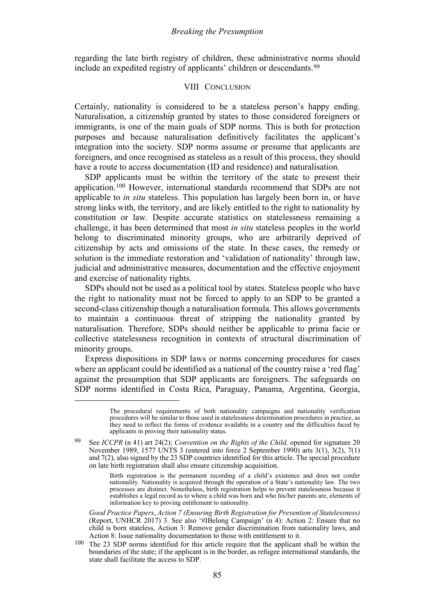<span id="page-26-0"></span>regarding the late birth registry of children, these administrative norms should include an expedited registry of applicants' children or descendants.[99](#page-26-1)

#### VIII CONCLUSION

Certainly, nationality is considered to be a stateless person's happy ending. Naturalisation, a citizenship granted by states to those considered foreigners or immigrants, is one of the main goals of SDP norms. This is both for protection purposes and because naturalisation definitively facilitates the applicant's integration into the society. SDP norms assume or presume that applicants are foreigners, and once recognised as stateless as a result of this process, they should have a route to access documentation (ID and residence) and naturalisation.

SDP applicants must be within the territory of the state to present their application.[100](#page-26-2) However, international standards recommend that SDPs are not applicable to *in situ* stateless. This population has largely been born in, or have strong links with, the territory, and are likely entitled to the right to nationality by constitution or law. Despite accurate statistics on statelessness remaining a challenge, it has been determined that most *in situ* stateless peoples in the world belong to discriminated minority groups, who are arbitrarily deprived of citizenship by acts and omissions of the state. In these cases, the remedy or solution is the immediate restoration and 'validation of nationality' through law, judicial and administrative measures, documentation and the effective enjoyment and exercise of nationality rights.

SDPs should not be used as a political tool by states. Stateless people who have the right to nationality must not be forced to apply to an SDP to be granted a second-class citizenship though a naturalisation formula. This allows governments to maintain a continuous threat of stripping the nationality granted by naturalisation. Therefore, SDPs should neither be applicable to prima facie or collective statelessness recognition in contexts of structural discrimination of minority groups.

Express dispositions in SDP laws or norms concerning procedures for cases where an applicant could be identified as a national of the country raise a 'red flag' against the presumption that SDP applicants are foreigners. The safeguards on SDP norms identified in Costa Rica, Paraguay, Panama, Argentina, Georgia,

The procedural requirements of both nationality campaigns and nationality verification procedures will be similar to those used in statelessness determination procedures in practice, as they need to reflect the forms of evidence available in a country and the difficulties faced by applicants in proving their nationality status.

<span id="page-26-1"></span><sup>99</sup> See *ICCPR* (n [41\)](#page-11-6) art 24(2); *Convention on the Rights of the Child,* opened for signature 20 November 1989, 1577 UNTS 3 (entered into force 2 September 1990) arts 3(1), 3(2), 7(1) and 7(2), also signed by the 23 SDP countries identified for this article. The special procedure on late birth registration shall also ensure citizenship acquisition.

Birth registration is the permanent recording of a child's existence and does not confer nationality. Nationality is acquired through the operation of a State's nationality law. The two processes are distinct. Nonetheless, birth registration helps to prevent statelessness because it establishes a legal record as to where a child was born and who his/her parents are, elements of information key to proving entitlement to nationality.

*Good Practice Papers*, *Action 7 (Ensuring Birth Registration for Prevention of Statelessness)* (Report, UNHCR 2017) 3. See also '#IBelong Campaign' (n [4\)](#page-1-8): Action 2: Ensure that no child is born stateless, Action 3: Remove gender discrimination from nationality laws, and Action 8: Issue nationality documentation to those with entitlement to it.

<span id="page-26-2"></span><sup>100</sup> The 23 SDP norms identified for this article require that the applicant shall be within the boundaries of the state; if the applicant is in the border, as refugee international standards, the state shall facilitate the access to SDP.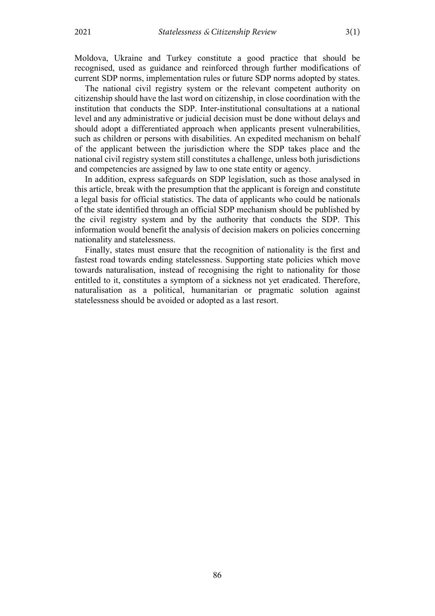Moldova, Ukraine and Turkey constitute a good practice that should be recognised, used as guidance and reinforced through further modifications of current SDP norms, implementation rules or future SDP norms adopted by states.

The national civil registry system or the relevant competent authority on citizenship should have the last word on citizenship, in close coordination with the institution that conducts the SDP. Inter-institutional consultations at a national level and any administrative or judicial decision must be done without delays and should adopt a differentiated approach when applicants present vulnerabilities, such as children or persons with disabilities. An expedited mechanism on behalf of the applicant between the jurisdiction where the SDP takes place and the national civil registry system still constitutes a challenge, unless both jurisdictions and competencies are assigned by law to one state entity or agency.

In addition, express safeguards on SDP legislation, such as those analysed in this article, break with the presumption that the applicant is foreign and constitute a legal basis for official statistics. The data of applicants who could be nationals of the state identified through an official SDP mechanism should be published by the civil registry system and by the authority that conducts the SDP. This information would benefit the analysis of decision makers on policies concerning nationality and statelessness.

Finally, states must ensure that the recognition of nationality is the first and fastest road towards ending statelessness. Supporting state policies which move towards naturalisation, instead of recognising the right to nationality for those entitled to it, constitutes a symptom of a sickness not yet eradicated. Therefore, naturalisation as a political, humanitarian or pragmatic solution against statelessness should be avoided or adopted as a last resort.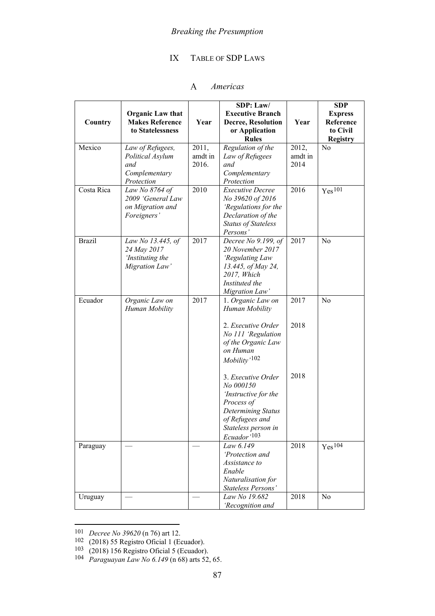# IX TABLE OF SDP LAWS

#### $\mathbf{A}$ *Americas*

<span id="page-28-1"></span><span id="page-28-0"></span>

|               | <b>Organic Law that</b>                    |         | SDP: Law/<br><b>Executive Branch</b>        |         | <b>SDP</b><br><b>Express</b> |
|---------------|--------------------------------------------|---------|---------------------------------------------|---------|------------------------------|
| Country       | <b>Makes Reference</b><br>to Statelessness | Year    | <b>Decree, Resolution</b><br>or Application | Year    | Reference<br>to Civil        |
| Mexico        | Law of Refugees,                           | 2011,   | <b>Rules</b><br>Regulation of the           | 2012,   | <b>Registry</b><br>No        |
|               | Political Asylum                           | amdt in | Law of Refugees                             | amdt in |                              |
|               | and                                        | 2016.   | and                                         | 2014    |                              |
|               | Complementary                              |         | Complementary                               |         |                              |
|               | Protection                                 |         | Protection                                  |         |                              |
| Costa Rica    | Law No 8764 of                             | 2010    | <b>Executive Decree</b>                     | 2016    | $Yes^{101}$                  |
|               | 2009 'General Law                          |         | No 39620 of 2016                            |         |                              |
|               | on Migration and                           |         | 'Regulations for the                        |         |                              |
|               | Foreigners'                                |         | Declaration of the                          |         |                              |
|               |                                            |         | <b>Status of Stateless</b><br>Persons'      |         |                              |
| <b>Brazil</b> | Law No 13.445, of                          | 2017    | Decree No 9.199, of                         | 2017    | N <sub>o</sub>               |
|               | 24 May 2017                                |         | 20 November 2017                            |         |                              |
|               | Instituting the                            |         | 'Regulating Law                             |         |                              |
|               | Migration Law'                             |         | 13.445, of May 24,                          |         |                              |
|               |                                            |         | 2017, Which                                 |         |                              |
|               |                                            |         | Instituted the                              |         |                              |
|               |                                            |         | Migration Law'                              |         |                              |
| Ecuador       | Organic Law on<br>Human Mobility           | 2017    | 1. Organic Law on<br>Human Mobility         | 2017    | N <sub>0</sub>               |
|               |                                            |         |                                             |         |                              |
|               |                                            |         | 2. Executive Order                          | 2018    |                              |
|               |                                            |         | No 111 'Regulation                          |         |                              |
|               |                                            |         | of the Organic Law                          |         |                              |
|               |                                            |         | on Human                                    |         |                              |
|               |                                            |         | $M obility'{}^{102}$                        |         |                              |
|               |                                            |         |                                             |         |                              |
|               |                                            |         | 3. Executive Order                          | 2018    |                              |
|               |                                            |         | No 000150<br>'Instructive for the           |         |                              |
|               |                                            |         | Process of                                  |         |                              |
|               |                                            |         | <b>Determining Status</b>                   |         |                              |
|               |                                            |         | of Refugees and                             |         |                              |
|               |                                            |         | Stateless person in                         |         |                              |
|               |                                            |         | Ecuador <sup>'103</sup>                     |         |                              |
| Paraguay      |                                            |         | Law 6.149                                   | 2018    | Yes <sup>104</sup>           |
|               |                                            |         | 'Protection and                             |         |                              |
|               |                                            |         | Assistance to                               |         |                              |
|               |                                            |         | Enable                                      |         |                              |
|               |                                            |         | Naturalisation for<br>Stateless Persons'    |         |                              |
| Uruguay       |                                            |         | Law No 19.682                               | 2018    | No                           |
|               |                                            |         | 'Recognition and                            |         |                              |

<span id="page-28-2"></span><sup>101</sup> *Decree No 39620* (n [76\)](#page-18-5) art 12.

<span id="page-28-3"></span><sup>102</sup> (2018) 55 Registro Oficial 1 (Ecuador).

<span id="page-28-4"></span><sup>103</sup> (2018) 156 Registro Oficial 5 (Ecuador).

<span id="page-28-5"></span><sup>104</sup> *Paraguayan Law No 6.149* ([n 68\)](#page-16-3) arts 52, 65.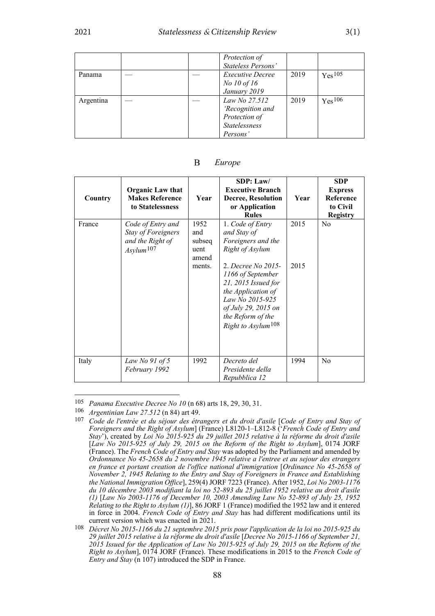|           |  | Protection of<br>Stateless Persons'                                                    |      |                    |
|-----------|--|----------------------------------------------------------------------------------------|------|--------------------|
| Panama    |  | <i>Executive Decree</i><br>No 10 of 16<br>January 2019                                 | 2019 | Yes <sup>105</sup> |
| Argentina |  | Law No 27.512<br>'Recognition and<br>Protection of<br><b>Statelessness</b><br>Persons' | 2019 | Yes <sup>106</sup> |

<span id="page-29-0"></span>

| Country | <b>Organic Law that</b><br><b>Makes Reference</b><br>to Statelessness                         | Year                                             | SDP: Law/<br><b>Executive Branch</b><br><b>Decree, Resolution</b><br>or Application<br><b>Rules</b>                                                                                                                                                               | Year         | <b>SDP</b><br><b>Express</b><br>Reference<br>to Civil<br><b>Registry</b> |
|---------|-----------------------------------------------------------------------------------------------|--------------------------------------------------|-------------------------------------------------------------------------------------------------------------------------------------------------------------------------------------------------------------------------------------------------------------------|--------------|--------------------------------------------------------------------------|
| France  | Code of Entry and<br><b>Stay of Foreigners</b><br>and the Right of<br>$Asylum$ <sup>107</sup> | 1952<br>and<br>subseq<br>uent<br>amend<br>ments. | 1. Code of Entry<br>and Stay of<br>Foreigners and the<br>Right of Asylum<br>2. Decree No 2015-<br>1166 of September<br>21, 2015 Issued for<br>the Application of<br>Law No 2015-925<br>of July 29, 2015 on<br>the Reform of the<br>Right to Asylum <sup>108</sup> | 2015<br>2015 | N <sub>0</sub>                                                           |
| Italy   | Law No $91$ of 5<br>February 1992                                                             | 1992                                             | Decreto del<br>Presidente della<br>Repubblica 12                                                                                                                                                                                                                  | 1994         | N <sub>0</sub>                                                           |

#### <span id="page-29-1"></span>B *Europe*

<span id="page-29-2"></span><sup>105</sup> *Panama Executive Decree No 10* (n [68\)](#page-16-3) arts 18, 29, 30, 31.

<span id="page-29-4"></span><span id="page-29-3"></span><sup>106</sup> *Argentinian Law 27.512* ([n 84\)](#page-21-4) art 49.

<sup>107</sup> *Code de l'entrée et du séjour des étrangers et du droit d'asile* [*Code of Entry and Stay of Foreigners and the Right of Asylum*] (France) L8120-1–L812-8 ('*French Code of Entry and Stay*'), created by *Loi No 2015-925 du 29 juillet 2015 relative à la réforme du droit d'asile* [*Law No 2015-925 of July 29, 2015 on the Reform of the Right to Asylum*], 0174 JORF (France). The *French Code of Entry and Stay* was adopted by the Parliament and amended by *Ordonnance No 45-2658 du 2 novembre 1945 relative a l'entree et au sejour des etrangers en france et portant creation de l'office national d'immigration* [*Ordinance No 45-2658 of November 2, 1945 Relating to the Entry and Stay of Foreigners in France and Establishing the National Immigration Office*], 259(4) JORF 7223 (France). After 1952, *Loi No 2003-1176 du 10 décembre 2003 modifiant la loi no 52-893 du 25 juillet 1952 relative au droit d'asile (1)* [*Law No 2003-1176 of December 10, 2003 Amending Law No 52-893 of July 25, 1952 Relating to the Right to Asylum (1)*], 86 JORF 1 (France) modified the 1952 law and it entered in force in 2004. *French Code of Entry and Stay* has had different modifications until its current version which was enacted in 2021.

<span id="page-29-5"></span><sup>108</sup> *Décret No 2015-1166 du 21 septembre 2015 pris pour l'application de la loi no 2015-925 du 29 juillet 2015 relative à la réforme du droit d'asile* [*Decree No 2015-1166 of September 21, 2015 Issued for the Application of Law No 2015-925 of July 29, 2015 on the Reform of the Right to Asylum*], 0174 JORF (France). These modifications in 2015 to the *French Code of Entry and Stay* ([n 107\)](#page-29-1) introduced the SDP in France.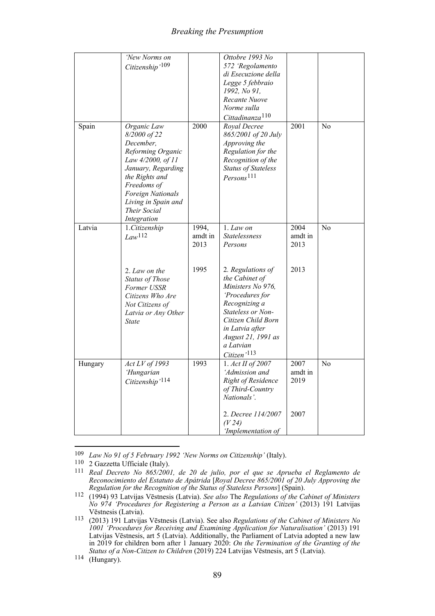### *Breaking the Presumption*

|         | 'New Norms on<br>Citizenship'109                                                                                                                                                                                            |                          | Ottobre 1993 No<br>572 'Regolamento<br>di Esecuzione della                                                                                                                                                               |                         |                |
|---------|-----------------------------------------------------------------------------------------------------------------------------------------------------------------------------------------------------------------------------|--------------------------|--------------------------------------------------------------------------------------------------------------------------------------------------------------------------------------------------------------------------|-------------------------|----------------|
|         |                                                                                                                                                                                                                             |                          | Legge 5 febbraio<br>1992, No 91,                                                                                                                                                                                         |                         |                |
|         |                                                                                                                                                                                                                             |                          | Recante Nuove<br>Norme sulla<br>Cittadinanza <sup>110</sup>                                                                                                                                                              |                         |                |
| Spain   | Organic Law<br>8/2000 of 22<br>December,<br>Reforming Organic<br>Law 4/2000, of 11<br>January, Regarding<br>the Rights and<br>Freedoms of<br><b>Foreign Nationals</b><br>Living in Spain and<br>Their Social<br>Integration | 2000                     | Royal Decree<br>865/2001 of 20 July<br>Approving the<br>Regulation for the<br>Recognition of the<br><b>Status of Stateless</b><br>$Persons$ <sup>111</sup>                                                               | 2001                    | N <sub>o</sub> |
| Latvia  | 1.Citizenship<br>Law <sup>112</sup>                                                                                                                                                                                         | 1994,<br>amdt in<br>2013 | 1. Law on<br>Statelessness<br>Persons                                                                                                                                                                                    | 2004<br>amdt in<br>2013 | No             |
|         | 2. Law on the<br>Status of Those<br>Former USSR<br>Citizens Who Are<br>Not Citizens of<br>Latvia or Any Other<br><b>State</b>                                                                                               | 1995                     | 2. Regulations of<br>the Cabinet of<br>Ministers No 976,<br>'Procedures for<br>Recognizing a<br>Stateless or Non-<br>Citizen Child Born<br>in Latvia after<br>August 21, 1991 as<br>a Latvian<br>Citizen <sup>'113</sup> | 2013                    |                |
| Hungary | Act LV of 1993<br>'Hungarian<br>Citizenship <sup>'114</sup>                                                                                                                                                                 | 1993                     | 1. Act II of 2007<br>'Admission and<br>Right of Residence<br>of Third-Country<br>Nationals'.                                                                                                                             | 2007<br>amdt in<br>2019 | N <sub>o</sub> |
|         |                                                                                                                                                                                                                             |                          | 2. Decree 114/2007<br>(V24)<br>'Implementation of                                                                                                                                                                        | 2007                    |                |

<span id="page-30-0"></span><sup>109</sup> *Law No 91 of 5 February 1992 'New Norms on Citizenship'* (Italy).

<span id="page-30-2"></span><span id="page-30-1"></span><sup>110</sup> 2 Gazzetta Ufficiale (Italy).

<sup>111</sup> *Real Decreto No 865/2001, de 20 de julio, por el que se Aprueba el Reglamento de Reconocimiento del Estatuto de Apátrida* [*Royal Decree 865/2001 of 20 July Approving the Regulation for the Recognition of the Status of Stateless Persons*] (Spain).

<span id="page-30-3"></span><sup>112</sup> (1994) 93 Latvijas Vēstnesis (Latvia). *See also* The *Regulations of the Cabinet of Ministers No 974 'Procedures for Registering a Person as a Latvian Citizen'* (2013) 191 Latvijas

<span id="page-30-4"></span>Vēstnesis (Latvia). 113 (2013) 191 Latvijas Vēstnesis (Latvia). See also *Regulations of the Cabinet of Ministers No 1001 'Procedures for Receiving and Examining Application for Naturalisation'* (2013) 191 Latvijas Vēstnesis, art 5 (Latvia). Additionally, the Parliament of Latvia adopted a new law in 2019 for children born after 1 January 2020: *On the Termination of the Granting of the Status of a Non-Citizen to Children* (2019) 224 Latvijas Vēstnesis, art 5 (Latvia).

<span id="page-30-5"></span><sup>114</sup> (Hungary).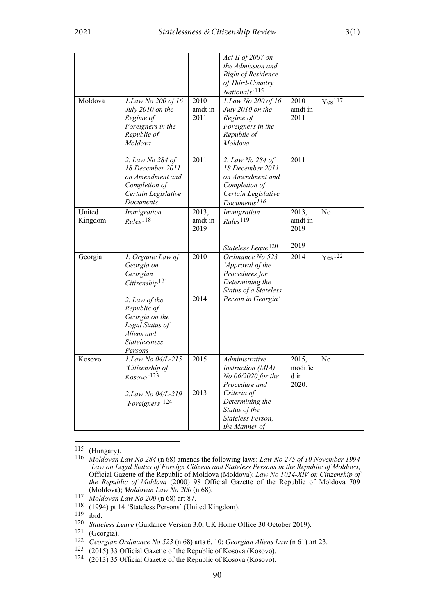|         |                                                  |         | Act II of 2007 on<br>the Admission and             |         |                    |
|---------|--------------------------------------------------|---------|----------------------------------------------------|---------|--------------------|
|         |                                                  |         | Right of Residence                                 |         |                    |
|         |                                                  |         | of Third-Country                                   |         |                    |
| Moldova | 1.Law No 200 of 16                               | 2010    | Nationals' <sup>115</sup><br>1.Law No 200 of 16    | 2010    | Yes <sup>117</sup> |
|         | July 2010 on the                                 | amdt in | July 2010 on the                                   | amdt in |                    |
|         | Regime of                                        | 2011    | Regime of                                          | 2011    |                    |
|         | Foreigners in the<br>Republic of                 |         | Foreigners in the<br>Republic of                   |         |                    |
|         | Moldova                                          |         | Moldova                                            |         |                    |
|         | 2. Law No 284 of                                 | 2011    | 2. Law No 284 of                                   | 2011    |                    |
|         | 18 December 2011<br>on Amendment and             |         | 18 December 2011<br>on Amendment and               |         |                    |
|         | Completion of                                    |         | Completion of                                      |         |                    |
|         | Certain Legislative                              |         | Certain Legislative                                |         |                    |
| United  | Documents<br>Immigration                         | 2013,   | Documents <sup>116</sup><br>Immigration            | 2013,   | N <sub>o</sub>     |
| Kingdom | Rules <sup>118</sup>                             | amdt in | Rules <sup>119</sup>                               | amdt in |                    |
|         |                                                  | 2019    |                                                    | 2019    |                    |
|         |                                                  |         |                                                    | 2019    |                    |
| Georgia | 1. Organic Law of                                | 2010    | Stateless Leave <sup>120</sup><br>Ordinance No 523 | 2014    | Yes <sup>122</sup> |
|         | Georgia on                                       |         | 'Approval of the                                   |         |                    |
|         | Georgian                                         |         | Procedures for                                     |         |                    |
|         | Citizenship <sup>121</sup>                       |         | Determining the<br>Status of a Stateless           |         |                    |
|         | 2. Law of the                                    | 2014    | Person in Georgia'                                 |         |                    |
|         | Republic of                                      |         |                                                    |         |                    |
|         | Georgia on the<br>Legal Status of                |         |                                                    |         |                    |
|         | Aliens and                                       |         |                                                    |         |                    |
|         | Statelessness                                    |         |                                                    |         |                    |
| Kosovo  | Persons<br>1.Law No 04/L-215                     | 2015    | Administrative                                     | 2015,   | N <sub>o</sub>     |
|         | 'Citizenship of                                  |         | Instruction (MIA)                                  | modifie |                    |
|         | $Kosovo'$ <sup>123</sup>                         |         | No 06/2020 for the                                 | d in    |                    |
|         |                                                  | 2013    | Procedure and<br>Criteria of                       | 2020.   |                    |
|         | 2.Law No 04/L-219<br>'Foreigners' <sup>124</sup> |         | Determining the                                    |         |                    |
|         |                                                  |         | Status of the                                      |         |                    |
|         |                                                  |         | Stateless Person,<br>the Manner of                 |         |                    |
|         |                                                  |         |                                                    |         |                    |

<span id="page-31-0"></span>115 (Hungary).

- <span id="page-31-2"></span>117 *Moldovan Law No 200* (n [68\)](#page-16-3) art 87.
- <span id="page-31-3"></span>118 (1994) pt 14 'Stateless Persons' (United Kingdom).
- <span id="page-31-4"></span>119 ibid.
- <span id="page-31-5"></span><sup>120</sup> *Stateless Leave* (Guidance Version 3.0, UK Home Office 30 October 2019).<br><sup>121</sup> (Georgia)
- (Georgia).
- <span id="page-31-7"></span><span id="page-31-6"></span>122 *Georgian Ordinance No 523* ([n 68\)](#page-16-3) arts 6, 10; *Georgian Aliens Law* (n [61\)](#page-15-7) art 23.
- <span id="page-31-9"></span><span id="page-31-8"></span><sup>123</sup> (2015) 33 Official Gazette of the Republic of Kosova (Kosovo).<br><sup>124</sup> (2013) 35 Official Gazette of the Republic of Kosova (Kosovo).
- $(2013)$  35 Official Gazette of the Republic of Kosova (Kosovo).

<span id="page-31-1"></span><sup>116</sup> *Moldovan Law No 284* (n [68\)](#page-16-3) amends the following laws: *Law No 275 of 10 November 1994 'Law on Legal Status of Foreign Citizens and Stateless Persons in the Republic of Moldova*, Official Gazette of the Republic of Moldova (Moldova); *Law No 1024-XIV on Citizenship of the Republic of Moldova* (2000) 98 Official Gazette of the Republic of Moldova 709 (Moldova); *Moldovan Law No 200* (n [68\)](#page-16-3).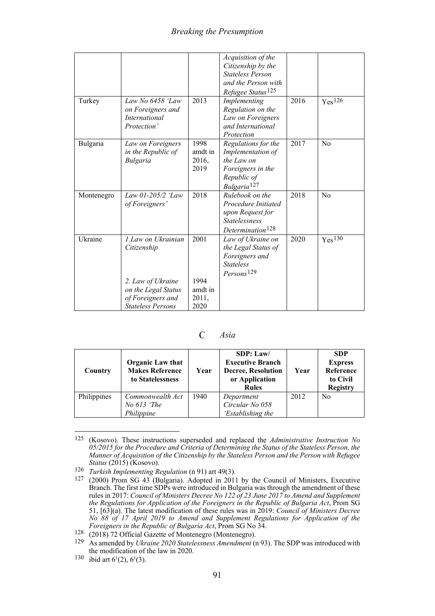|            |                                                                                                                                 |                                          | Acquisition of the<br>Citizenship by the<br><b>Stateless Person</b><br>and the Person with<br>Refugee Status <sup>125</sup> |      |                    |
|------------|---------------------------------------------------------------------------------------------------------------------------------|------------------------------------------|-----------------------------------------------------------------------------------------------------------------------------|------|--------------------|
| Turkey     | Law No $6458$ 'Law<br>on Foreigners and<br><b>International</b><br>Protection'                                                  | 2013                                     | Implementing<br>Regulation on the<br>Law on Foreigners<br>and International<br>Protection                                   | 2016 | Yes <sup>126</sup> |
| Bulgaria   | Law on Foreigners<br>in the Republic of<br><b>Bulgaria</b>                                                                      | 1998<br>amdt in<br>2016,<br>2019         | Regulations for the<br>Implementation of<br>the Law on<br>Foreigners in the<br>Republic of<br>Bulgaria <sup>127</sup>       | 2017 | $\rm No$           |
| Montenegro | Law 01-205/2 'Law<br>of Foreigners'                                                                                             | 2018                                     | Rulebook on the<br>Procedure Initiated<br>upon Request for<br><b>Statelessness</b><br>Determination <sup>128</sup>          | 2018 | No                 |
| Ukraine    | 1. Law on Ukrainian<br>Citizenship<br>2. Law of Ukraine<br>on the Legal Status<br>of Foreigners and<br><b>Stateless Persons</b> | 2001<br>1994<br>amdt in<br>2011,<br>2020 | Law of Ukraine on<br>the Legal Status of<br>Foreigners and<br><b>Stateless</b><br>Persons <sup>129</sup>                    | 2020 | Yes <sup>130</sup> |

 $\mathcal{C}$ *Asia*

<span id="page-32-0"></span>

| Country     | Organic Law that<br><b>Makes Reference</b><br>to Statelessness | Year | SDP: Law/<br><b>Executive Branch</b><br><b>Decree, Resolution</b><br>or Application<br><b>Rules</b> | Year | <b>SDP</b><br><b>Express</b><br>Reference<br>to Civil<br><b>Registry</b> |
|-------------|----------------------------------------------------------------|------|-----------------------------------------------------------------------------------------------------|------|--------------------------------------------------------------------------|
| Philippines | Commonwealth Act<br>No 613 'The                                | 1940 | Department<br>Circular No 058                                                                       | 2012 | N <sub>0</sub>                                                           |
|             | Philippine                                                     |      | 'Establishing the                                                                                   |      |                                                                          |

<span id="page-32-1"></span><sup>125</sup> (Kosovo). These instructions superseded and replaced the *Administrative Instruction No 05/2015 for the Procedure and Criteria of Determining the Status of the Stateless Person, the Manner of Acquisition of the Citizenship by the Stateless Person and the Person with Refugee Status* (2015) (Kosovo).

<sup>126</sup> *Turkish Implementing Regulation* ([n 91\)](#page-23-6) art 49(3).

<span id="page-32-3"></span><span id="page-32-2"></span><sup>127</sup> (2000) Prom SG 43 (Bulgaria). Adopted in 2011 by the Council of Ministers, Executive Branch. The first time SDPs were introduced in Bulgaria was through the amendment of these rules in 2017: *Council of Ministers Decree No 122 of 23 June 2017 to Amend and Supplement the Regulations for Application of the Foreigners in the Republic of Bulgaria Act*, Prom SG 51, [63](a). The latest modification of these rules was in 2019: *Council of Ministers Decree No 88 of 17 April 2019 to Amend and Supplement Regulations for Application of the Foreigners in the Republic of Bulgaria Act*, Prom SG No 34.

<span id="page-32-5"></span><span id="page-32-4"></span><sup>&</sup>lt;sup>128</sup> (2018) 72 Official Gazette of Montenegro (Montenegro).<br><sup>129</sup> As amended by *Ukraine* 2020 Statelessness Amendment (i.

<sup>129</sup> As amended by *Ukraine 2020 Statelessness Amendment* ([n 93\)](#page-23-7). The SDP was introduced with the modification of the law in 2020.

<span id="page-32-6"></span><sup>&</sup>lt;sup>130</sup> ibid art  $6<sup>1</sup>(2)$ ,  $6<sup>1</sup>(3)$ .